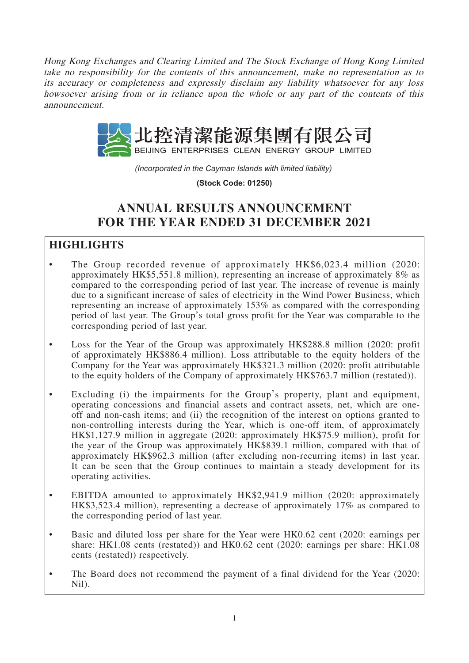Hong Kong Exchanges and Clearing Limited and The Stock Exchange of Hong Kong Limited take no responsibility for the contents of this announcement, make no representation as to its accuracy or completeness and expressly disclaim any liability whatsoever for any loss howsoever arising from or in reliance upon the whole or any part of the contents of this announcement.



*(Incorporated in the Cayman Islands with limited liability)* 

**(Stock Code: 01250)**

# **ANNUAL RESULTS ANNOUNCEMENT FOR THE YEAR ENDED 31 DECEMBER 2021**

## **HIGHLIGHTS**

- The Group recorded revenue of approximately HK\$6,023.4 million (2020: approximately HK\$5,551.8 million), representing an increase of approximately 8% as compared to the corresponding period of last year. The increase of revenue is mainly due to a significant increase of sales of electricity in the Wind Power Business, which representing an increase of approximately 153% as compared with the corresponding period of last year. The Group's total gross profit for the Year was comparable to the corresponding period of last year.
- Loss for the Year of the Group was approximately HK\$288.8 million (2020: profit of approximately HK\$886.4 million). Loss attributable to the equity holders of the Company for the Year was approximately HK\$321.3 million (2020: profit attributable to the equity holders of the Company of approximately HK\$763.7 million (restated)).
- Excluding (i) the impairments for the Group's property, plant and equipment, operating concessions and financial assets and contract assets, net, which are oneoff and non-cash items; and (ii) the recognition of the interest on options granted to non-controlling interests during the Year, which is one-off item, of approximately HK\$1,127.9 million in aggregate (2020: approximately HK\$75.9 million), profit for the year of the Group was approximately HK\$839.1 million, compared with that of approximately HK\$962.3 million (after excluding non-recurring items) in last year. It can be seen that the Group continues to maintain a steady development for its operating activities.
- EBITDA amounted to approximately HK\$2,941.9 million (2020: approximately HK\$3,523.4 million), representing a decrease of approximately 17% as compared to the corresponding period of last year.
- Basic and diluted loss per share for the Year were HK0.62 cent (2020: earnings per share: HK1.08 cents (restated)) and HK0.62 cent (2020: earnings per share: HK1.08 cents (restated)) respectively.
- The Board does not recommend the payment of a final dividend for the Year (2020: Nil).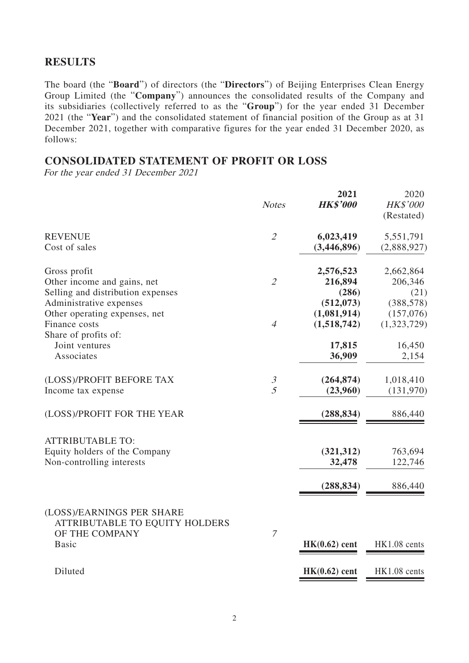## **RESULTS**

The board (the "**Board**") of directors (the "**Directors**") of Beijing Enterprises Clean Energy Group Limited (the "**Company**") announces the consolidated results of the Company and its subsidiaries (collectively referred to as the "**Group**") for the year ended 31 December 2021 (the "**Year**") and the consolidated statement of financial position of the Group as at 31 December 2021, together with comparative figures for the year ended 31 December 2020, as follows:

## **CONSOLIDATED STATEMENT OF PROFIT OR LOSS**

For the year ended 31 December 2021

|                                                                                                   | <b>Notes</b>                     | 2021<br><b>HK\$'000</b>                  | 2020<br>HK\$'000<br>(Restated)         |
|---------------------------------------------------------------------------------------------------|----------------------------------|------------------------------------------|----------------------------------------|
| <b>REVENUE</b><br>Cost of sales                                                                   | $\overline{2}$                   | 6,023,419<br>(3,446,896)                 | 5,551,791<br>(2,888,927)               |
| Gross profit<br>Other income and gains, net<br>Selling and distribution expenses                  | $\mathcal{L}$                    | 2,576,523<br>216,894<br>(286)            | 2,662,864<br>206,346<br>(21)           |
| Administrative expenses<br>Other operating expenses, net<br>Finance costs<br>Share of profits of: | $\overline{4}$                   | (512, 073)<br>(1,081,914)<br>(1,518,742) | (388, 578)<br>(157,076)<br>(1,323,729) |
| Joint ventures<br>Associates                                                                      |                                  | 17,815<br>36,909                         | 16,450<br>2,154                        |
| (LOSS)/PROFIT BEFORE TAX<br>Income tax expense                                                    | $\mathfrak{Z}$<br>$\overline{5}$ | (264, 874)<br>(23,960)                   | 1,018,410<br>(131,970)                 |
| (LOSS)/PROFIT FOR THE YEAR                                                                        |                                  | (288, 834)                               | 886,440                                |
| <b>ATTRIBUTABLE TO:</b><br>Equity holders of the Company<br>Non-controlling interests             |                                  | (321, 312)<br>32,478                     | 763,694<br>122,746                     |
|                                                                                                   |                                  | (288, 834)                               | 886,440                                |
| (LOSS)/EARNINGS PER SHARE<br>ATTRIBUTABLE TO EQUITY HOLDERS<br>OF THE COMPANY<br><b>Basic</b>     | $\overline{7}$                   | $HK(0.62)$ cent                          | HK1.08 cents                           |
| Diluted                                                                                           |                                  | $HK(0.62)$ cent                          | HK1.08 cents                           |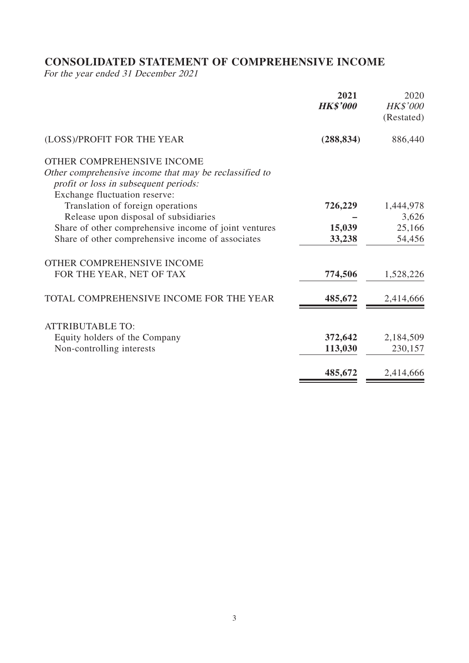# **CONSOLIDATED STATEMENT OF COMPREHENSIVE INCOME**

For the year ended 31 December 2021

|                                                                                                | 2021<br><b>HK\$'000</b> | 2020<br><b>HK\$'000</b><br>(Restated) |
|------------------------------------------------------------------------------------------------|-------------------------|---------------------------------------|
| (LOSS)/PROFIT FOR THE YEAR                                                                     | (288, 834)              | 886,440                               |
| OTHER COMPREHENSIVE INCOME                                                                     |                         |                                       |
| Other comprehensive income that may be reclassified to                                         |                         |                                       |
| profit or loss in subsequent periods:                                                          |                         |                                       |
| Exchange fluctuation reserve:                                                                  |                         |                                       |
| Translation of foreign operations                                                              | 726,229                 | 1,444,978<br>3,626                    |
| Release upon disposal of subsidiaries<br>Share of other comprehensive income of joint ventures | 15,039                  | 25,166                                |
| Share of other comprehensive income of associates                                              | 33,238                  | 54,456                                |
|                                                                                                |                         |                                       |
| OTHER COMPREHENSIVE INCOME                                                                     |                         |                                       |
| FOR THE YEAR, NET OF TAX                                                                       | 774,506                 | 1,528,226                             |
| TOTAL COMPREHENSIVE INCOME FOR THE YEAR                                                        | 485,672                 | 2,414,666                             |
| <b>ATTRIBUTABLE TO:</b>                                                                        |                         |                                       |
| Equity holders of the Company                                                                  | 372,642                 | 2,184,509                             |
| Non-controlling interests                                                                      | 113,030                 | 230,157                               |
|                                                                                                | 485,672                 | 2,414,666                             |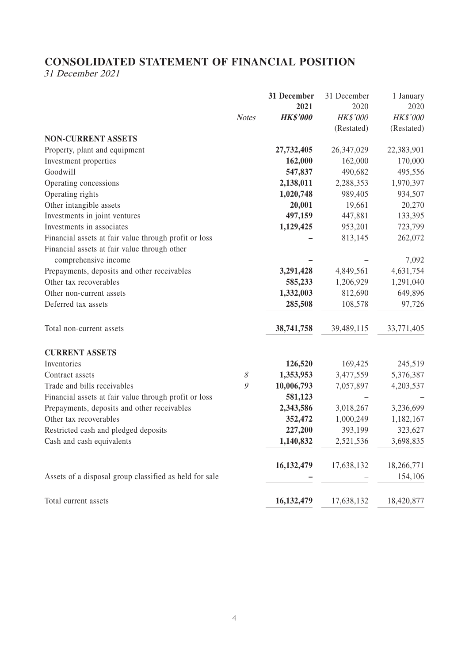# **CONSOLIDATED STATEMENT OF FINANCIAL POSITION**

31 December 2021

|                                                        |              | 31 December     | 31 December  | 1 January             |
|--------------------------------------------------------|--------------|-----------------|--------------|-----------------------|
|                                                        |              | 2021            | 2020         | 2020                  |
|                                                        | <b>Notes</b> | <b>HK\$'000</b> | HK\$'000     | HK\$'000              |
|                                                        |              |                 | (Restated)   | (Restated)            |
| <b>NON-CURRENT ASSETS</b>                              |              |                 |              |                       |
| Property, plant and equipment                          |              | 27,732,405      | 26, 347, 029 | 22,383,901            |
| Investment properties                                  |              | 162,000         | 162,000      | 170,000               |
| Goodwill                                               |              | 547,837         | 490,682      | 495,556               |
| Operating concessions                                  |              | 2,138,011       | 2,288,353    | 1,970,397             |
| Operating rights                                       |              | 1,020,748       | 989,405      | 934,507               |
| Other intangible assets                                |              | 20,001          | 19,661       | 20,270                |
| Investments in joint ventures                          |              | 497,159         | 447,881      | 133,395               |
| Investments in associates                              |              | 1,129,425       | 953,201      | 723,799               |
| Financial assets at fair value through profit or loss  |              |                 | 813,145      | 262,072               |
| Financial assets at fair value through other           |              |                 |              |                       |
| comprehensive income                                   |              |                 |              | 7,092                 |
| Prepayments, deposits and other receivables            |              | 3,291,428       | 4,849,561    | 4,631,754             |
| Other tax recoverables                                 |              | 585,233         | 1,206,929    | 1,291,040             |
| Other non-current assets                               |              | 1,332,003       | 812,690      | 649,896               |
| Deferred tax assets                                    |              | 285,508         | 108,578      | 97,726                |
| Total non-current assets                               |              | 38,741,758      | 39,489,115   | 33,771,405            |
| <b>CURRENT ASSETS</b>                                  |              |                 |              |                       |
| Inventories                                            |              | 126,520         | 169,425      | 245,519               |
| Contract assets                                        | $\mathcal S$ | 1,353,953       | 3,477,559    | 5,376,387             |
| Trade and bills receivables                            | 9            | 10,006,793      | 7,057,897    | 4,203,537             |
| Financial assets at fair value through profit or loss  |              | 581,123         |              |                       |
| Prepayments, deposits and other receivables            |              | 2,343,586       | 3,018,267    | 3,236,699             |
| Other tax recoverables                                 |              | 352,472         | 1,000,249    | 1,182,167             |
| Restricted cash and pledged deposits                   |              | 227,200         | 393,199      | 323,627               |
| Cash and cash equivalents                              |              | 1,140,832       | 2,521,536    | 3,698,835             |
|                                                        |              | 16,132,479      | 17,638,132   |                       |
|                                                        |              |                 |              | 18,266,771<br>154,106 |
| Assets of a disposal group classified as held for sale |              |                 |              |                       |
| Total current assets                                   |              | 16,132,479      | 17,638,132   | 18,420,877            |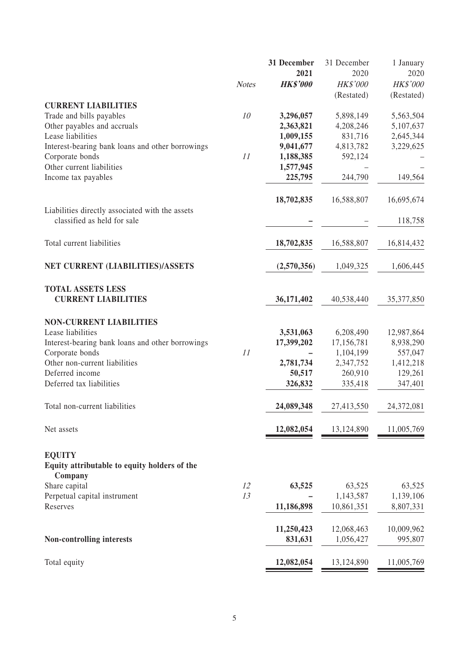|                                                  |              | 31 December     | 31 December | 1 January  |
|--------------------------------------------------|--------------|-----------------|-------------|------------|
|                                                  |              | 2021            | 2020        | 2020       |
|                                                  | <b>Notes</b> | <b>HK\$'000</b> | HK\$'000    | HK\$'000   |
|                                                  |              |                 | (Restated)  | (Restated) |
| <b>CURRENT LIABILITIES</b>                       |              |                 |             |            |
| Trade and bills payables                         | 10           | 3,296,057       | 5,898,149   | 5,563,504  |
| Other payables and accruals                      |              | 2,363,821       | 4,208,246   | 5,107,637  |
| Lease liabilities                                |              | 1,009,155       | 831,716     | 2,645,344  |
| Interest-bearing bank loans and other borrowings |              | 9,041,677       | 4,813,782   | 3,229,625  |
| Corporate bonds                                  | 11           | 1,188,385       | 592,124     |            |
| Other current liabilities                        |              | 1,577,945       |             |            |
| Income tax payables                              |              | 225,795         | 244,790     | 149,564    |
|                                                  |              |                 |             |            |
|                                                  |              | 18,702,835      | 16,588,807  | 16,695,674 |
| Liabilities directly associated with the assets  |              |                 |             |            |
| classified as held for sale                      |              |                 |             | 118,758    |
|                                                  |              |                 |             |            |
|                                                  |              |                 |             |            |
| Total current liabilities                        |              | 18,702,835      | 16,588,807  | 16,814,432 |
|                                                  |              |                 |             |            |
| NET CURRENT (LIABILITIES)/ASSETS                 |              | (2,570,356)     | 1,049,325   | 1,606,445  |
|                                                  |              |                 |             |            |
| <b>TOTAL ASSETS LESS</b>                         |              |                 |             |            |
| <b>CURRENT LIABILITIES</b>                       |              | 36,171,402      | 40,538,440  | 35,377,850 |
|                                                  |              |                 |             |            |
| <b>NON-CURRENT LIABILITIES</b>                   |              |                 |             |            |
| Lease liabilities                                |              | 3,531,063       | 6,208,490   | 12,987,864 |
| Interest-bearing bank loans and other borrowings |              | 17,399,202      | 17,156,781  | 8,938,290  |
| Corporate bonds                                  | 11           |                 | 1,104,199   | 557,047    |
| Other non-current liabilities                    |              | 2,781,734       | 2,347,752   | 1,412,218  |
| Deferred income                                  |              | 50,517          | 260,910     | 129,261    |
| Deferred tax liabilities                         |              | 326,832         | 335,418     | 347,401    |
|                                                  |              |                 |             |            |
| Total non-current liabilities                    |              | 24,089,348      | 27,413,550  | 24,372,081 |
|                                                  |              |                 |             |            |
| Net assets                                       |              | 12,082,054      | 13,124,890  | 11,005,769 |
|                                                  |              |                 |             |            |
|                                                  |              |                 |             |            |
| <b>EQUITY</b>                                    |              |                 |             |            |
| Equity attributable to equity holders of the     |              |                 |             |            |
| Company                                          |              |                 |             |            |
| Share capital                                    | 12           | 63,525          | 63,525      | 63,525     |
| Perpetual capital instrument                     | 13           |                 | 1,143,587   | 1,139,106  |
| Reserves                                         |              | 11,186,898      | 10,861,351  | 8,807,331  |
|                                                  |              |                 |             |            |
|                                                  |              | 11,250,423      | 12,068,463  | 10,009,962 |
| Non-controlling interests                        |              | 831,631         | 1,056,427   | 995,807    |
|                                                  |              |                 |             |            |
| Total equity                                     |              | 12,082,054      | 13,124,890  | 11,005,769 |
|                                                  |              |                 |             |            |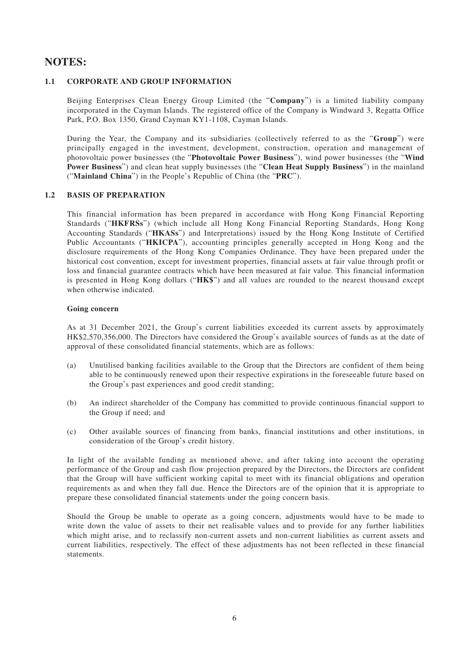### **NOTES:**

#### **1.1 CORPORATE AND GROUP INFORMATION**

Beijing Enterprises Clean Energy Group Limited (the "**Company**") is a limited liability company incorporated in the Cayman Islands. The registered office of the Company is Windward 3, Regatta Office Park, P.O. Box 1350, Grand Cayman KY1-1108, Cayman Islands.

During the Year, the Company and its subsidiaries (collectively referred to as the "**Group**") were principally engaged in the investment, development, construction, operation and management of photovoltaic power businesses (the "**Photovoltaic Power Business**"), wind power businesses (the "**Wind Power Business**") and clean heat supply businesses (the "**Clean Heat Supply Business**") in the mainland ("**Mainland China**") in the People's Republic of China (the "**PRC**").

#### **1.2 BASIS OF PREPARATION**

This financial information has been prepared in accordance with Hong Kong Financial Reporting Standards ("**HKFRSs**") (which include all Hong Kong Financial Reporting Standards, Hong Kong Accounting Standards ("**HKASs**") and Interpretations) issued by the Hong Kong Institute of Certified Public Accountants ("**HKICPA**"), accounting principles generally accepted in Hong Kong and the disclosure requirements of the Hong Kong Companies Ordinance. They have been prepared under the historical cost convention, except for investment properties, financial assets at fair value through profit or loss and financial guarantee contracts which have been measured at fair value. This financial information is presented in Hong Kong dollars ("**HK\$**") and all values are rounded to the nearest thousand except when otherwise indicated.

#### **Going concern**

As at 31 December 2021, the Group's current liabilities exceeded its current assets by approximately HK\$2,570,356,000. The Directors have considered the Group's available sources of funds as at the date of approval of these consolidated financial statements, which are as follows:

- (a) Unutilised banking facilities available to the Group that the Directors are confident of them being able to be continuously renewed upon their respective expirations in the foreseeable future based on the Group's past experiences and good credit standing;
- (b) An indirect shareholder of the Company has committed to provide continuous financial support to the Group if need; and
- (c) Other available sources of financing from banks, financial institutions and other institutions, in consideration of the Group's credit history.

In light of the available funding as mentioned above, and after taking into account the operating performance of the Group and cash flow projection prepared by the Directors, the Directors are confident that the Group will have sufficient working capital to meet with its financial obligations and operation requirements as and when they fall due. Hence the Directors are of the opinion that it is appropriate to prepare these consolidated financial statements under the going concern basis.

Should the Group be unable to operate as a going concern, adjustments would have to be made to write down the value of assets to their net realisable values and to provide for any further liabilities which might arise, and to reclassify non-current assets and non-current liabilities as current assets and current liabilities, respectively. The effect of these adjustments has not been reflected in these financial statements.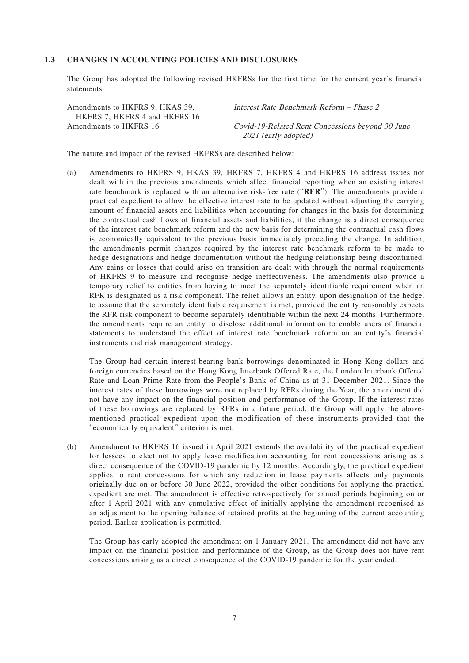#### **1.3 CHANGES IN ACCOUNTING POLICIES AND DISCLOSURES**

The Group has adopted the following revised HKFRSs for the first time for the current year's financial statements.

| Amendments to HKFRS 9, HKAS 39, | Interest Rate Benchmark Reform – Phase 2         |
|---------------------------------|--------------------------------------------------|
| HKFRS 7. HKFRS 4 and HKFRS 16   |                                                  |
| Amendments to HKFRS 16          | Covid-19-Related Rent Concessions beyond 30 June |
|                                 | 2021 (early adopted)                             |

The nature and impact of the revised HKFRSs are described below:

(a) Amendments to HKFRS 9, HKAS 39, HKFRS 7, HKFRS 4 and HKFRS 16 address issues not dealt with in the previous amendments which affect financial reporting when an existing interest rate benchmark is replaced with an alternative risk-free rate ("**RFR**"). The amendments provide a practical expedient to allow the effective interest rate to be updated without adjusting the carrying amount of financial assets and liabilities when accounting for changes in the basis for determining the contractual cash flows of financial assets and liabilities, if the change is a direct consequence of the interest rate benchmark reform and the new basis for determining the contractual cash flows is economically equivalent to the previous basis immediately preceding the change. In addition, the amendments permit changes required by the interest rate benchmark reform to be made to hedge designations and hedge documentation without the hedging relationship being discontinued. Any gains or losses that could arise on transition are dealt with through the normal requirements of HKFRS 9 to measure and recognise hedge ineffectiveness. The amendments also provide a temporary relief to entities from having to meet the separately identifiable requirement when an RFR is designated as a risk component. The relief allows an entity, upon designation of the hedge, to assume that the separately identifiable requirement is met, provided the entity reasonably expects the RFR risk component to become separately identifiable within the next 24 months. Furthermore, the amendments require an entity to disclose additional information to enable users of financial statements to understand the effect of interest rate benchmark reform on an entity's financial instruments and risk management strategy.

The Group had certain interest-bearing bank borrowings denominated in Hong Kong dollars and foreign currencies based on the Hong Kong Interbank Offered Rate, the London Interbank Offered Rate and Loan Prime Rate from the People's Bank of China as at 31 December 2021. Since the interest rates of these borrowings were not replaced by RFRs during the Year, the amendment did not have any impact on the financial position and performance of the Group. If the interest rates of these borrowings are replaced by RFRs in a future period, the Group will apply the abovementioned practical expedient upon the modification of these instruments provided that the "economically equivalent" criterion is met.

(b) Amendment to HKFRS 16 issued in April 2021 extends the availability of the practical expedient for lessees to elect not to apply lease modification accounting for rent concessions arising as a direct consequence of the COVID-19 pandemic by 12 months. Accordingly, the practical expedient applies to rent concessions for which any reduction in lease payments affects only payments originally due on or before 30 June 2022, provided the other conditions for applying the practical expedient are met. The amendment is effective retrospectively for annual periods beginning on or after 1 April 2021 with any cumulative effect of initially applying the amendment recognised as an adjustment to the opening balance of retained profits at the beginning of the current accounting period. Earlier application is permitted.

The Group has early adopted the amendment on 1 January 2021. The amendment did not have any impact on the financial position and performance of the Group, as the Group does not have rent concessions arising as a direct consequence of the COVID-19 pandemic for the year ended.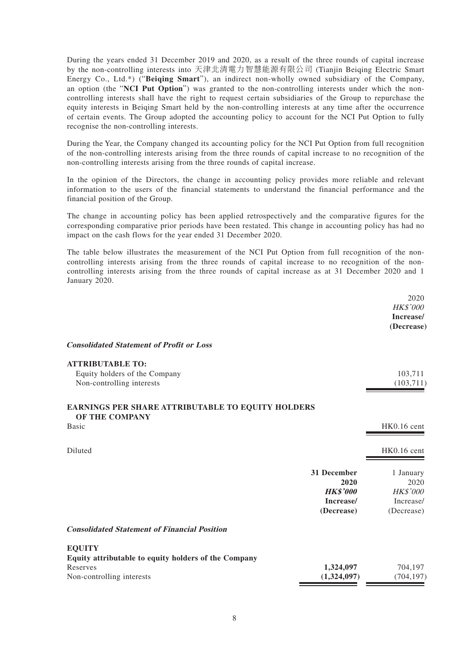During the years ended 31 December 2019 and 2020, as a result of the three rounds of capital increase by the non-controlling interests into 天津北清電力智慧能源有限公司 (Tianjin Beiqing Electric Smart Energy Co., Ltd.\*) ("**Beiqing Smart**"), an indirect non-wholly owned subsidiary of the Company, an option (the "**NCI Put Option**") was granted to the non-controlling interests under which the noncontrolling interests shall have the right to request certain subsidiaries of the Group to repurchase the equity interests in Beiqing Smart held by the non-controlling interests at any time after the occurrence of certain events. The Group adopted the accounting policy to account for the NCI Put Option to fully recognise the non-controlling interests.

During the Year, the Company changed its accounting policy for the NCI Put Option from full recognition of the non-controlling interests arising from the three rounds of capital increase to no recognition of the non-controlling interests arising from the three rounds of capital increase.

In the opinion of the Directors, the change in accounting policy provides more reliable and relevant information to the users of the financial statements to understand the financial performance and the financial position of the Group.

The change in accounting policy has been applied retrospectively and the comparative figures for the corresponding comparative prior periods have been restated. This change in accounting policy has had no impact on the cash flows for the year ended 31 December 2020.

The table below illustrates the measurement of the NCI Put Option from full recognition of the noncontrolling interests arising from the three rounds of capital increase to no recognition of the noncontrolling interests arising from the three rounds of capital increase as at 31 December 2020 and 1 January 2020.

|                                                                                                                |                                                                   | 2020<br>HK\$'000<br>Increase/<br>(Decrease)                     |
|----------------------------------------------------------------------------------------------------------------|-------------------------------------------------------------------|-----------------------------------------------------------------|
| <b>Consolidated Statement of Profit or Loss</b>                                                                |                                                                   |                                                                 |
| <b>ATTRIBUTABLE TO:</b><br>Equity holders of the Company<br>Non-controlling interests                          |                                                                   | 103,711<br>(103, 711)                                           |
| <b>EARNINGS PER SHARE ATTRIBUTABLE TO EQUITY HOLDERS</b><br>OF THE COMPANY                                     |                                                                   |                                                                 |
| <b>Basic</b>                                                                                                   |                                                                   | HK0.16 cent                                                     |
| Diluted                                                                                                        |                                                                   | HK0.16 cent                                                     |
|                                                                                                                | 31 December<br>2020<br><b>HK\$'000</b><br>Increase/<br>(Decrease) | 1 January<br>2020<br><b>HK\$'000</b><br>Increase/<br>(Decrease) |
| <b>Consolidated Statement of Financial Position</b>                                                            |                                                                   |                                                                 |
| <b>EQUITY</b><br>Equity attributable to equity holders of the Company<br>Reserves<br>Non-controlling interests | 1,324,097<br>(1,324,097)                                          | 704,197<br>(704, 197)                                           |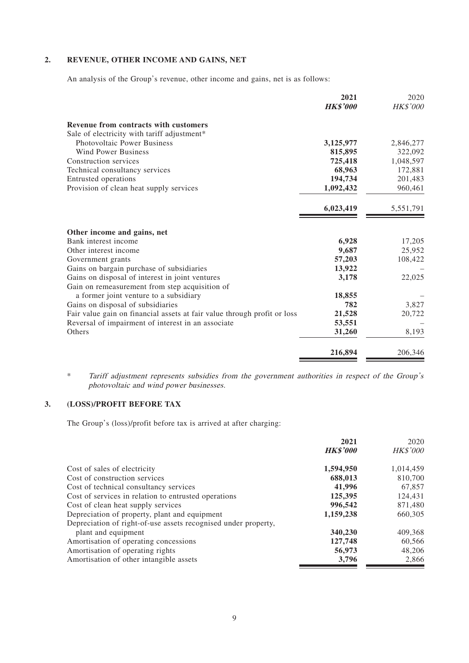#### **2. REVENUE, OTHER INCOME AND GAINS, NET**

An analysis of the Group's revenue, other income and gains, net is as follows:

|                                                                          | 2021            | 2020      |
|--------------------------------------------------------------------------|-----------------|-----------|
|                                                                          | <b>HK\$'000</b> | HK\$'000  |
| Revenue from contracts with customers                                    |                 |           |
| Sale of electricity with tariff adjustment*                              |                 |           |
| <b>Photovoltaic Power Business</b>                                       | 3,125,977       | 2,846,277 |
| <b>Wind Power Business</b>                                               | 815,895         | 322,092   |
| Construction services                                                    | 725,418         | 1,048,597 |
| Technical consultancy services                                           | 68,963          | 172,881   |
| Entrusted operations                                                     | 194,734         | 201,483   |
| Provision of clean heat supply services                                  | 1,092,432       | 960,461   |
|                                                                          | 6,023,419       | 5,551,791 |
| Other income and gains, net                                              |                 |           |
| Bank interest income                                                     | 6,928           | 17,205    |
| Other interest income                                                    | 9,687           | 25,952    |
| Government grants                                                        | 57,203          | 108,422   |
| Gains on bargain purchase of subsidiaries                                | 13,922          |           |
| Gains on disposal of interest in joint ventures                          | 3,178           | 22,025    |
| Gain on remeasurement from step acquisition of                           |                 |           |
| a former joint venture to a subsidiary                                   | 18,855          |           |
| Gains on disposal of subsidiaries                                        | 782             | 3,827     |
| Fair value gain on financial assets at fair value through profit or loss | 21,528          | 20,722    |
| Reversal of impairment of interest in an associate                       | 53,551          |           |
| Others                                                                   | 31,260          | 8,193     |
|                                                                          | 216,894         | 206,346   |

\* Tariff adjustment represents subsidies from the government authorities in respect of the Group's photovoltaic and wind power businesses.

#### **3. (LOSS)/PROFIT BEFORE TAX**

The Group's (loss)/profit before tax is arrived at after charging:

|                                                                | 2021            | 2020            |
|----------------------------------------------------------------|-----------------|-----------------|
|                                                                | <b>HK\$'000</b> | <b>HK\$'000</b> |
| Cost of sales of electricity                                   | 1,594,950       | 1,014,459       |
| Cost of construction services                                  | 688.013         | 810,700         |
| Cost of technical consultancy services                         | 41,996          | 67,857          |
| Cost of services in relation to entrusted operations           | 125,395         | 124,431         |
| Cost of clean heat supply services                             | 996,542         | 871,480         |
| Depreciation of property, plant and equipment                  | 1,159,238       | 660,305         |
| Depreciation of right-of-use assets recognised under property, |                 |                 |
| plant and equipment                                            | 340,230         | 409,368         |
| Amortisation of operating concessions                          | 127,748         | 60,566          |
| Amortisation of operating rights                               | 56,973          | 48,206          |
| Amortisation of other intangible assets                        | 3,796           | 2,866           |
|                                                                |                 |                 |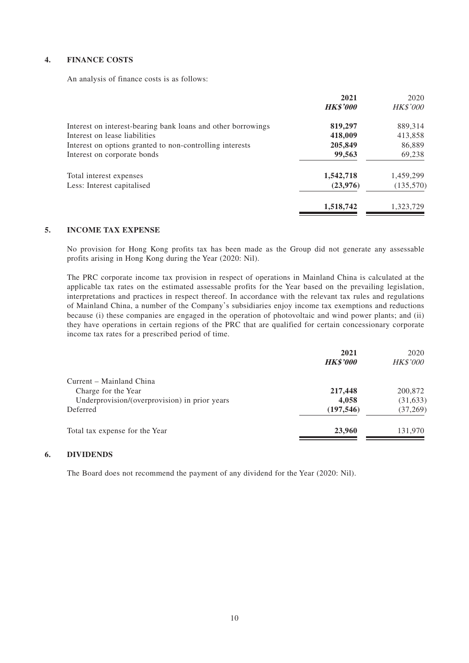#### **4. FINANCE COSTS**

An analysis of finance costs is as follows:

|                                                              | 2021<br><b>HK\$'000</b> | 2020<br><b>HK\$'000</b> |
|--------------------------------------------------------------|-------------------------|-------------------------|
|                                                              |                         |                         |
| Interest on interest-bearing bank loans and other borrowings | 819,297                 | 889,314                 |
| Interest on lease liabilities                                | 418,009                 | 413,858                 |
| Interest on options granted to non-controlling interests     | 205,849                 | 86,889                  |
| Interest on corporate bonds                                  | 99,563                  | 69,238                  |
| Total interest expenses                                      | 1,542,718               | 1,459,299               |
| Less: Interest capitalised                                   | (23, 976)               | (135,570)               |
|                                                              | 1,518,742               | 1,323,729               |

#### **5. INCOME TAX EXPENSE**

No provision for Hong Kong profits tax has been made as the Group did not generate any assessable profits arising in Hong Kong during the Year (2020: Nil).

The PRC corporate income tax provision in respect of operations in Mainland China is calculated at the applicable tax rates on the estimated assessable profits for the Year based on the prevailing legislation, interpretations and practices in respect thereof. In accordance with the relevant tax rules and regulations of Mainland China, a number of the Company's subsidiaries enjoy income tax exemptions and reductions because (i) these companies are engaged in the operation of photovoltaic and wind power plants; and (ii) they have operations in certain regions of the PRC that are qualified for certain concessionary corporate income tax rates for a prescribed period of time.

|                                               | 2021<br><b>HK\$'000</b> | 2020<br><b>HK\$'000</b> |
|-----------------------------------------------|-------------------------|-------------------------|
| Current – Mainland China                      |                         |                         |
| Charge for the Year                           | 217,448                 | 200,872                 |
| Underprovision/(overprovision) in prior years | 4,058                   | (31, 633)               |
| Deferred                                      | (197, 546)              | (37, 269)               |
| Total tax expense for the Year                | 23,960                  | 131,970                 |

#### **6. DIVIDENDS**

The Board does not recommend the payment of any dividend for the Year (2020: Nil).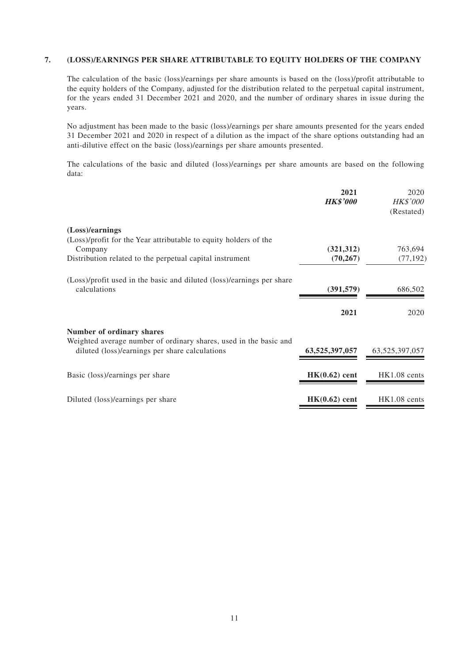#### **7. (LOSS)/EARNINGS PER SHARE ATTRIBUTABLE TO EQUITY HOLDERS OF THE COMPANY**

The calculation of the basic (loss)/earnings per share amounts is based on the (loss)/profit attributable to the equity holders of the Company, adjusted for the distribution related to the perpetual capital instrument, for the years ended 31 December 2021 and 2020, and the number of ordinary shares in issue during the years.

No adjustment has been made to the basic (loss)/earnings per share amounts presented for the years ended 31 December 2021 and 2020 in respect of a dilution as the impact of the share options outstanding had an anti-dilutive effect on the basic (loss)/earnings per share amounts presented.

The calculations of the basic and diluted (loss)/earnings per share amounts are based on the following data:

|                                                                                                                     | 2021<br><b>HK\$'000</b> | 2020<br><b>HK\$'000</b><br>(Restated) |
|---------------------------------------------------------------------------------------------------------------------|-------------------------|---------------------------------------|
| (Loss)/earnings                                                                                                     |                         |                                       |
| (Loss)/profit for the Year attributable to equity holders of the<br>Company                                         | (321, 312)              | 763,694                               |
| Distribution related to the perpetual capital instrument                                                            | (70, 267)               | (77, 192)                             |
| (Loss)/profit used in the basic and diluted (loss)/earnings per share<br>calculations                               | (391, 579)              | 686,502                               |
|                                                                                                                     | 2021                    | 2020                                  |
| <b>Number of ordinary shares</b>                                                                                    |                         |                                       |
| Weighted average number of ordinary shares, used in the basic and<br>diluted (loss)/earnings per share calculations | 63,525,397,057          | 63, 525, 397, 057                     |
| Basic (loss)/earnings per share                                                                                     | $HK(0.62)$ cent         | HK1.08 cents                          |
| Diluted (loss)/earnings per share                                                                                   | $HK(0.62)$ cent         | HK1.08 cents                          |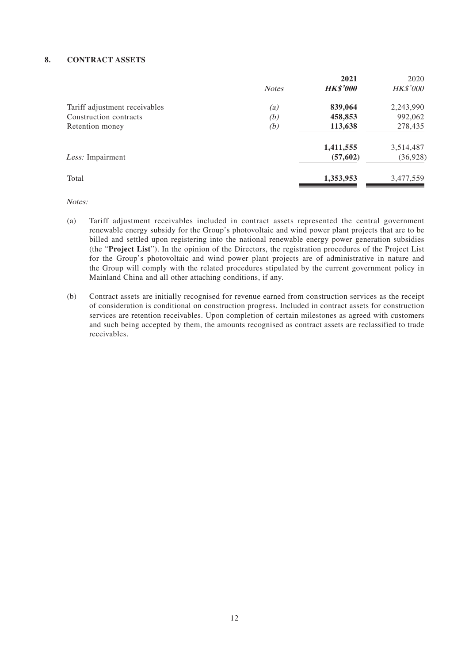#### **8. CONTRACT ASSETS**

|     | 2021         | 2020            |
|-----|--------------|-----------------|
|     |              | <b>HK\$'000</b> |
| (a) | 839,064      | 2,243,990       |
| (b) | 458,853      | 992,062         |
| (b) | 113,638      | 278,435         |
|     | 1,411,555    | 3,514,487       |
|     | (57, 602)    | (36, 928)       |
|     | 1,353,953    | 3,477,559       |
|     | <b>Notes</b> | <b>HK\$'000</b> |

Notes:

- (a) Tariff adjustment receivables included in contract assets represented the central government renewable energy subsidy for the Group's photovoltaic and wind power plant projects that are to be billed and settled upon registering into the national renewable energy power generation subsidies (the "**Project List**"). In the opinion of the Directors, the registration procedures of the Project List for the Group's photovoltaic and wind power plant projects are of administrative in nature and the Group will comply with the related procedures stipulated by the current government policy in Mainland China and all other attaching conditions, if any.
- (b) Contract assets are initially recognised for revenue earned from construction services as the receipt of consideration is conditional on construction progress. Included in contract assets for construction services are retention receivables. Upon completion of certain milestones as agreed with customers and such being accepted by them, the amounts recognised as contract assets are reclassified to trade receivables.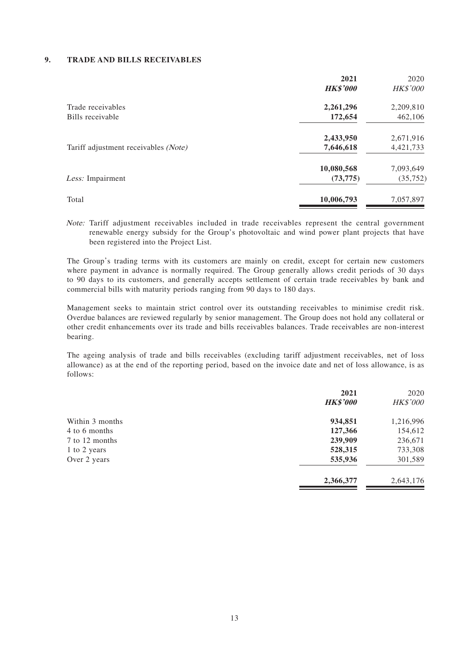#### **9. TRADE AND BILLS RECEIVABLES**

|                                      | 2021<br><b>HK\$'000</b> | 2020<br><b>HK\$'000</b> |
|--------------------------------------|-------------------------|-------------------------|
| Trade receivables                    | 2,261,296               | 2,209,810               |
| Bills receivable                     | 172,654                 | 462,106                 |
|                                      | 2,433,950               | 2,671,916               |
| Tariff adjustment receivables (Note) | 7,646,618               | 4,421,733               |
|                                      | 10,080,568              | 7,093,649               |
| Less: Impairment                     | (73, 775)               | (35, 752)               |
| Total                                | 10,006,793              | 7,057,897               |

Note: Tariff adjustment receivables included in trade receivables represent the central government renewable energy subsidy for the Group's photovoltaic and wind power plant projects that have been registered into the Project List.

The Group's trading terms with its customers are mainly on credit, except for certain new customers where payment in advance is normally required. The Group generally allows credit periods of 30 days to 90 days to its customers, and generally accepts settlement of certain trade receivables by bank and commercial bills with maturity periods ranging from 90 days to 180 days.

Management seeks to maintain strict control over its outstanding receivables to minimise credit risk. Overdue balances are reviewed regularly by senior management. The Group does not hold any collateral or other credit enhancements over its trade and bills receivables balances. Trade receivables are non-interest bearing.

The ageing analysis of trade and bills receivables (excluding tariff adjustment receivables, net of loss allowance) as at the end of the reporting period, based on the invoice date and net of loss allowance, is as follows:

|                 | 2021            | 2020            |
|-----------------|-----------------|-----------------|
|                 | <b>HK\$'000</b> | <b>HK\$'000</b> |
| Within 3 months | 934,851         | 1,216,996       |
| 4 to 6 months   | 127,366         | 154,612         |
| 7 to 12 months  | 239,909         | 236,671         |
| 1 to 2 years    | 528,315         | 733,308         |
| Over 2 years    | 535,936         | 301,589         |
|                 | 2,366,377       | 2,643,176       |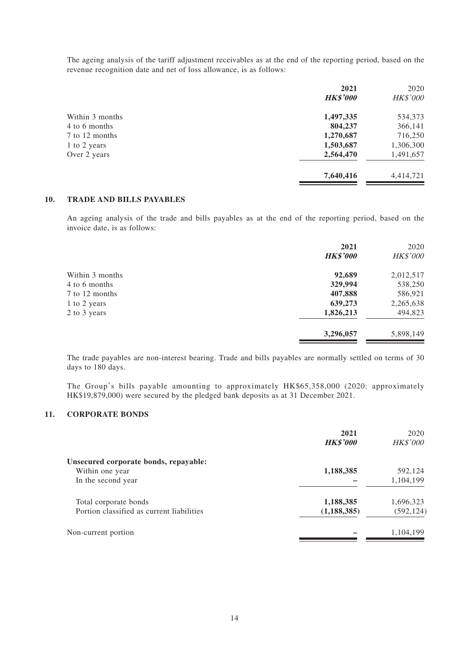The ageing analysis of the tariff adjustment receivables as at the end of the reporting period, based on the revenue recognition date and net of loss allowance, is as follows:

|                 | 2021            | 2020            |
|-----------------|-----------------|-----------------|
|                 | <b>HK\$'000</b> | <b>HK\$'000</b> |
| Within 3 months | 1,497,335       | 534,373         |
| 4 to 6 months   | 804,237         | 366,141         |
| 7 to 12 months  | 1,270,687       | 716,250         |
| 1 to 2 years    | 1,503,687       | 1,306,300       |
| Over 2 years    | 2,564,470       | 1,491,657       |
|                 | 7,640,416       | 4,414,721       |

#### **10. TRADE AND BILLS PAYABLES**

An ageing analysis of the trade and bills payables as at the end of the reporting period, based on the invoice date, is as follows:

|                 | 2021<br><b>HK\$'000</b> | 2020<br>HK\$'000 |
|-----------------|-------------------------|------------------|
| Within 3 months | 92,689                  | 2,012,517        |
| 4 to 6 months   | 329,994                 | 538,250          |
| 7 to 12 months  | 407,888                 | 586,921          |
| 1 to 2 years    | 639,273                 | 2,265,638        |
| 2 to 3 years    | 1,826,213               | 494,823          |
|                 | 3,296,057               | 5,898,149        |

The trade payables are non-interest bearing. Trade and bills payables are normally settled on terms of 30 days to 180 days.

The Group's bills payable amounting to approximately HK\$65,358,000 (2020: approximately HK\$19,879,000) were secured by the pledged bank deposits as at 31 December 2021.

#### **11. CORPORATE BONDS**

|                                           | 2021<br><b>HK\$'000</b> | 2020<br><b>HK\$'000</b> |
|-------------------------------------------|-------------------------|-------------------------|
| Unsecured corporate bonds, repayable:     |                         |                         |
| Within one year                           | 1,188,385               | 592,124                 |
| In the second year                        |                         | 1,104,199               |
| Total corporate bonds                     | 1,188,385               | 1,696,323               |
| Portion classified as current liabilities | (1, 188, 385)           | (592, 124)              |
| Non-current portion                       |                         | 1,104,199               |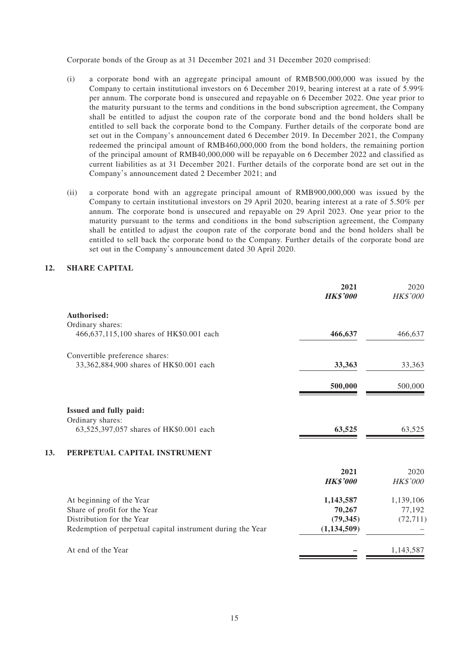Corporate bonds of the Group as at 31 December 2021 and 31 December 2020 comprised:

- (i) a corporate bond with an aggregate principal amount of RMB500,000,000 was issued by the Company to certain institutional investors on 6 December 2019, bearing interest at a rate of 5.99% per annum. The corporate bond is unsecured and repayable on 6 December 2022. One year prior to the maturity pursuant to the terms and conditions in the bond subscription agreement, the Company shall be entitled to adjust the coupon rate of the corporate bond and the bond holders shall be entitled to sell back the corporate bond to the Company. Further details of the corporate bond are set out in the Company's announcement dated 6 December 2019. In December 2021, the Company redeemed the principal amount of RMB460,000,000 from the bond holders, the remaining portion of the principal amount of RMB40,000,000 will be repayable on 6 December 2022 and classified as current liabilities as at 31 December 2021. Further details of the corporate bond are set out in the Company's announcement dated 2 December 2021; and
- (ii) a corporate bond with an aggregate principal amount of RMB900,000,000 was issued by the Company to certain institutional investors on 29 April 2020, bearing interest at a rate of 5.50% per annum. The corporate bond is unsecured and repayable on 29 April 2023. One year prior to the maturity pursuant to the terms and conditions in the bond subscription agreement, the Company shall be entitled to adjust the coupon rate of the corporate bond and the bond holders shall be entitled to sell back the corporate bond to the Company. Further details of the corporate bond are set out in the Company's announcement dated 30 April 2020.

#### **12. SHARE CAPITAL**

| 2021<br><b>HK\$'000</b>                                                     | 2020<br><b>HK\$'000</b> |
|-----------------------------------------------------------------------------|-------------------------|
|                                                                             |                         |
|                                                                             |                         |
| 466,637                                                                     | 466,637                 |
|                                                                             |                         |
| 33,363                                                                      | 33,363                  |
| 500,000                                                                     | 500,000                 |
|                                                                             |                         |
|                                                                             |                         |
| 63,525                                                                      | 63,525                  |
|                                                                             |                         |
| 2021                                                                        | 2020                    |
| <b>HK\$'000</b>                                                             | HK\$'000                |
| 1,143,587                                                                   | 1,139,106               |
| 70,267                                                                      | 77,192                  |
| (79, 345)                                                                   | (72, 711)               |
| (1, 134, 509)<br>Redemption of perpetual capital instrument during the Year |                         |
|                                                                             | 1,143,587               |
|                                                                             |                         |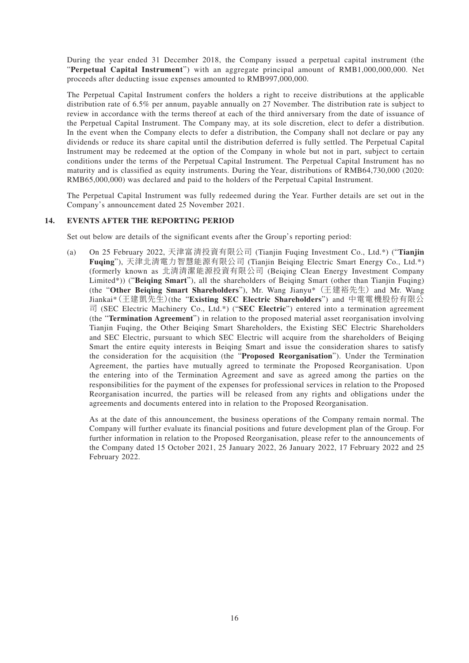During the year ended 31 December 2018, the Company issued a perpetual capital instrument (the "**Perpetual Capital Instrument**") with an aggregate principal amount of RMB1,000,000,000. Net proceeds after deducting issue expenses amounted to RMB997,000,000.

The Perpetual Capital Instrument confers the holders a right to receive distributions at the applicable distribution rate of 6.5% per annum, payable annually on 27 November. The distribution rate is subject to review in accordance with the terms thereof at each of the third anniversary from the date of issuance of the Perpetual Capital Instrument. The Company may, at its sole discretion, elect to defer a distribution. In the event when the Company elects to defer a distribution, the Company shall not declare or pay any dividends or reduce its share capital until the distribution deferred is fully settled. The Perpetual Capital Instrument may be redeemed at the option of the Company in whole but not in part, subject to certain conditions under the terms of the Perpetual Capital Instrument. The Perpetual Capital Instrument has no maturity and is classified as equity instruments. During the Year, distributions of RMB64,730,000 (2020: RMB65,000,000) was declared and paid to the holders of the Perpetual Capital Instrument.

The Perpetual Capital Instrument was fully redeemed during the Year. Further details are set out in the Company's announcement dated 25 November 2021.

#### **14. EVENTS AFTER THE REPORTING PERIOD**

Set out below are details of the significant events after the Group's reporting period:

(a) On 25 February 2022, 天津富清投資有限公司 (Tianjin Fuqing Investment Co., Ltd.\*) ("**Tianjin Fuqing**"), 天津北清電力智慧能源有限公司 (Tianjin Beiqing Electric Smart Energy Co., Ltd.\*) (formerly known as 北清清潔能源投資有限公司 (Beiqing Clean Energy Investment Company Limited\*)) ("**Beiqing Smart**"), all the shareholders of Beiqing Smart (other than Tianjin Fuqing) (the "**Other Beiqing Smart Shareholders**"), Mr. Wang Jianyu\* (王建裕先生) and Mr. Wang Jiankai\*(王建凱先生)(the "**Existing SEC Electric Shareholders**") and 中電電機股份有限公 司 (SEC Electric Machinery Co., Ltd.\*) ("**SEC Electric**") entered into a termination agreement (the "**Termination Agreement**") in relation to the proposed material asset reorganisation involving Tianjin Fuqing, the Other Beiqing Smart Shareholders, the Existing SEC Electric Shareholders and SEC Electric, pursuant to which SEC Electric will acquire from the shareholders of Beiqing Smart the entire equity interests in Beiqing Smart and issue the consideration shares to satisfy the consideration for the acquisition (the "**Proposed Reorganisation**"). Under the Termination Agreement, the parties have mutually agreed to terminate the Proposed Reorganisation. Upon the entering into of the Termination Agreement and save as agreed among the parties on the responsibilities for the payment of the expenses for professional services in relation to the Proposed Reorganisation incurred, the parties will be released from any rights and obligations under the agreements and documents entered into in relation to the Proposed Reorganisation.

As at the date of this announcement, the business operations of the Company remain normal. The Company will further evaluate its financial positions and future development plan of the Group. For further information in relation to the Proposed Reorganisation, please refer to the announcements of the Company dated 15 October 2021, 25 January 2022, 26 January 2022, 17 February 2022 and 25 February 2022.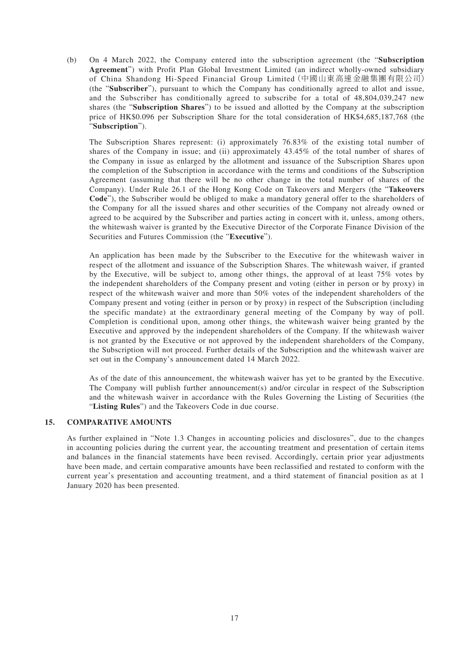(b) On 4 March 2022, the Company entered into the subscription agreement (the "**Subscription Agreement**") with Profit Plan Global Investment Limited (an indirect wholly-owned subsidiary of China Shandong Hi-Speed Financial Group Limited(中國山東高速金融集團有限公司) (the "**Subscriber**"), pursuant to which the Company has conditionally agreed to allot and issue, and the Subscriber has conditionally agreed to subscribe for a total of 48,804,039,247 new shares (the "**Subscription Shares**") to be issued and allotted by the Company at the subscription price of HK\$0.096 per Subscription Share for the total consideration of HK\$4,685,187,768 (the "**Subscription**").

The Subscription Shares represent: (i) approximately 76.83% of the existing total number of shares of the Company in issue; and (ii) approximately 43.45% of the total number of shares of the Company in issue as enlarged by the allotment and issuance of the Subscription Shares upon the completion of the Subscription in accordance with the terms and conditions of the Subscription Agreement (assuming that there will be no other change in the total number of shares of the Company). Under Rule 26.1 of the Hong Kong Code on Takeovers and Mergers (the "**Takeovers Code**"), the Subscriber would be obliged to make a mandatory general offer to the shareholders of the Company for all the issued shares and other securities of the Company not already owned or agreed to be acquired by the Subscriber and parties acting in concert with it, unless, among others, the whitewash waiver is granted by the Executive Director of the Corporate Finance Division of the Securities and Futures Commission (the "**Executive**").

An application has been made by the Subscriber to the Executive for the whitewash waiver in respect of the allotment and issuance of the Subscription Shares. The whitewash waiver, if granted by the Executive, will be subject to, among other things, the approval of at least 75% votes by the independent shareholders of the Company present and voting (either in person or by proxy) in respect of the whitewash waiver and more than 50% votes of the independent shareholders of the Company present and voting (either in person or by proxy) in respect of the Subscription (including the specific mandate) at the extraordinary general meeting of the Company by way of poll. Completion is conditional upon, among other things, the whitewash waiver being granted by the Executive and approved by the independent shareholders of the Company. If the whitewash waiver is not granted by the Executive or not approved by the independent shareholders of the Company, the Subscription will not proceed. Further details of the Subscription and the whitewash waiver are set out in the Company's announcement dated 14 March 2022.

As of the date of this announcement, the whitewash waiver has yet to be granted by the Executive. The Company will publish further announcement(s) and/or circular in respect of the Subscription and the whitewash waiver in accordance with the Rules Governing the Listing of Securities (the "**Listing Rules**") and the Takeovers Code in due course.

#### **15. COMPARATIVE AMOUNTS**

As further explained in "Note 1.3 Changes in accounting policies and disclosures", due to the changes in accounting policies during the current year, the accounting treatment and presentation of certain items and balances in the financial statements have been revised. Accordingly, certain prior year adjustments have been made, and certain comparative amounts have been reclassified and restated to conform with the current year's presentation and accounting treatment, and a third statement of financial position as at 1 January 2020 has been presented.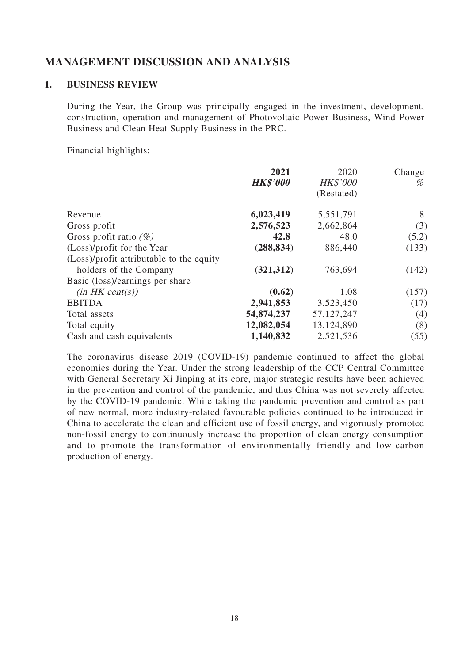## **MANAGEMENT DISCUSSION AND ANALYSIS**

### **1. BUSINESS REVIEW**

During the Year, the Group was principally engaged in the investment, development, construction, operation and management of Photovoltaic Power Business, Wind Power Business and Clean Heat Supply Business in the PRC.

Financial highlights:

| 2021            | 2020            | Change |
|-----------------|-----------------|--------|
| <b>HK\$'000</b> | <b>HK\$'000</b> | %      |
|                 | (Restated)      |        |
| 6,023,419       | 5,551,791       | 8      |
| 2,576,523       | 2,662,864       | (3)    |
| 42.8            | 48.0            | (5.2)  |
| (288, 834)      | 886,440         | (133)  |
|                 |                 |        |
| (321, 312)      | 763,694         | (142)  |
|                 |                 |        |
| (0.62)          | 1.08            | (157)  |
| 2,941,853       | 3,523,450       | (17)   |
| 54,874,237      | 57, 127, 247    | (4)    |
| 12,082,054      | 13,124,890      | (8)    |
| 1,140,832       | 2,521,536       | (55)   |
|                 |                 |        |

The coronavirus disease 2019 (COVID-19) pandemic continued to affect the global economies during the Year. Under the strong leadership of the CCP Central Committee with General Secretary Xi Jinping at its core, major strategic results have been achieved in the prevention and control of the pandemic, and thus China was not severely affected by the COVID-19 pandemic. While taking the pandemic prevention and control as part of new normal, more industry-related favourable policies continued to be introduced in China to accelerate the clean and efficient use of fossil energy, and vigorously promoted non-fossil energy to continuously increase the proportion of clean energy consumption and to promote the transformation of environmentally friendly and low-carbon production of energy.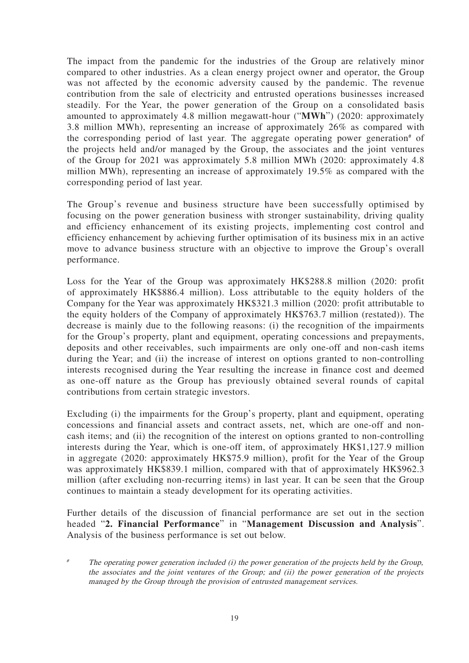The impact from the pandemic for the industries of the Group are relatively minor compared to other industries. As a clean energy project owner and operator, the Group was not affected by the economic adversity caused by the pandemic. The revenue contribution from the sale of electricity and entrusted operations businesses increased steadily. For the Year, the power generation of the Group on a consolidated basis amounted to approximately 4.8 million megawatt-hour ("**MWh**") (2020: approximately 3.8 million MWh), representing an increase of approximately 26% as compared with the corresponding period of last year. The aggregate operating power generation<sup>#</sup> of the projects held and/or managed by the Group, the associates and the joint ventures of the Group for 2021 was approximately 5.8 million MWh (2020: approximately 4.8 million MWh), representing an increase of approximately 19.5% as compared with the corresponding period of last year.

The Group's revenue and business structure have been successfully optimised by focusing on the power generation business with stronger sustainability, driving quality and efficiency enhancement of its existing projects, implementing cost control and efficiency enhancement by achieving further optimisation of its business mix in an active move to advance business structure with an objective to improve the Group's overall performance.

Loss for the Year of the Group was approximately HK\$288.8 million (2020: profit of approximately HK\$886.4 million). Loss attributable to the equity holders of the Company for the Year was approximately HK\$321.3 million (2020: profit attributable to the equity holders of the Company of approximately HK\$763.7 million (restated)). The decrease is mainly due to the following reasons: (i) the recognition of the impairments for the Group's property, plant and equipment, operating concessions and prepayments, deposits and other receivables, such impairments are only one-off and non-cash items during the Year; and (ii) the increase of interest on options granted to non-controlling interests recognised during the Year resulting the increase in finance cost and deemed as one-off nature as the Group has previously obtained several rounds of capital contributions from certain strategic investors.

Excluding (i) the impairments for the Group's property, plant and equipment, operating concessions and financial assets and contract assets, net, which are one-off and noncash items; and (ii) the recognition of the interest on options granted to non-controlling interests during the Year, which is one-off item, of approximately HK\$1,127.9 million in aggregate (2020: approximately HK\$75.9 million), profit for the Year of the Group was approximately HK\$839.1 million, compared with that of approximately HK\$962.3 million (after excluding non-recurring items) in last year. It can be seen that the Group continues to maintain a steady development for its operating activities.

Further details of the discussion of financial performance are set out in the section headed "**2. Financial Performance**" in "**Management Discussion and Analysis**". Analysis of the business performance is set out below.

The operating power generation included (i) the power generation of the projects held by the Group, the associates and the joint ventures of the Group; and (ii) the power generation of the projects managed by the Group through the provision of entrusted management services.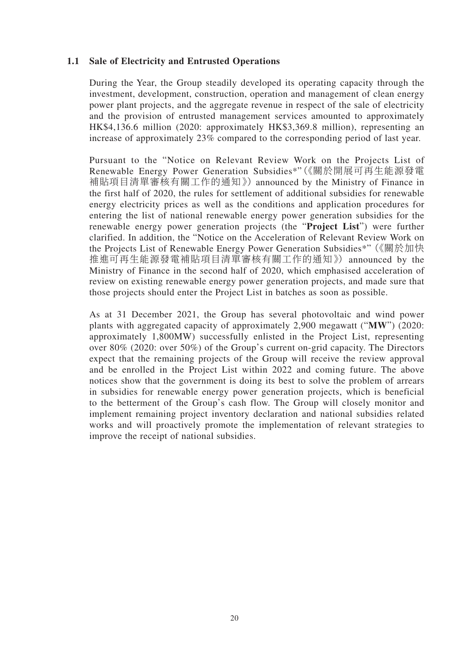### **1.1 Sale of Electricity and Entrusted Operations**

During the Year, the Group steadily developed its operating capacity through the investment, development, construction, operation and management of clean energy power plant projects, and the aggregate revenue in respect of the sale of electricity and the provision of entrusted management services amounted to approximately HK\$4,136.6 million (2020: approximately HK\$3,369.8 million), representing an increase of approximately 23% compared to the corresponding period of last year.

Pursuant to the "Notice on Relevant Review Work on the Projects List of Renewable Energy Power Generation Subsidies\*"(《關於開展可再生能源發電 補貼項目清單審核有關工作的通知》) announced by the Ministry of Finance in the first half of 2020, the rules for settlement of additional subsidies for renewable energy electricity prices as well as the conditions and application procedures for entering the list of national renewable energy power generation subsidies for the renewable energy power generation projects (the "**Project List**") were further clarified. In addition, the "Notice on the Acceleration of Relevant Review Work on the Projects List of Renewable Energy Power Generation Subsidies\*"(《關於加快 推進可再生能源發電補貼項目清單審核有關工作的通知》) announced by the Ministry of Finance in the second half of 2020, which emphasised acceleration of review on existing renewable energy power generation projects, and made sure that those projects should enter the Project List in batches as soon as possible.

As at 31 December 2021, the Group has several photovoltaic and wind power plants with aggregated capacity of approximately 2,900 megawatt ("**MW**") (2020: approximately 1,800MW) successfully enlisted in the Project List, representing over 80% (2020: over 50%) of the Group's current on-grid capacity. The Directors expect that the remaining projects of the Group will receive the review approval and be enrolled in the Project List within 2022 and coming future. The above notices show that the government is doing its best to solve the problem of arrears in subsidies for renewable energy power generation projects, which is beneficial to the betterment of the Group's cash flow. The Group will closely monitor and implement remaining project inventory declaration and national subsidies related works and will proactively promote the implementation of relevant strategies to improve the receipt of national subsidies.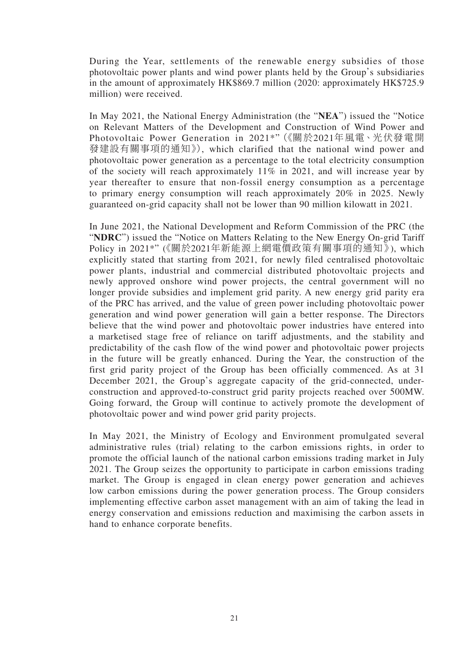During the Year, settlements of the renewable energy subsidies of those photovoltaic power plants and wind power plants held by the Group's subsidiaries in the amount of approximately HK\$869.7 million (2020: approximately HK\$725.9 million) were received.

In May 2021, the National Energy Administration (the "**NEA**") issued the "Notice on Relevant Matters of the Development and Construction of Wind Power and Photovoltaic Power Generation in 2021\*"(《關於2021年風電、光伏發電開 發建設有關事項的通知》), which clarified that the national wind power and photovoltaic power generation as a percentage to the total electricity consumption of the society will reach approximately 11% in 2021, and will increase year by year thereafter to ensure that non-fossil energy consumption as a percentage to primary energy consumption will reach approximately 20% in 2025. Newly guaranteed on-grid capacity shall not be lower than 90 million kilowatt in 2021.

In June 2021, the National Development and Reform Commission of the PRC (the "**NDRC**") issued the "Notice on Matters Relating to the New Energy On-grid Tariff Policy in 2021\*" (《關於2021年新能源上網電價政策有關事項的通知》), which explicitly stated that starting from 2021, for newly filed centralised photovoltaic power plants, industrial and commercial distributed photovoltaic projects and newly approved onshore wind power projects, the central government will no longer provide subsidies and implement grid parity. A new energy grid parity era of the PRC has arrived, and the value of green power including photovoltaic power generation and wind power generation will gain a better response. The Directors believe that the wind power and photovoltaic power industries have entered into a marketised stage free of reliance on tariff adjustments, and the stability and predictability of the cash flow of the wind power and photovoltaic power projects in the future will be greatly enhanced. During the Year, the construction of the first grid parity project of the Group has been officially commenced. As at 31 December 2021, the Group's aggregate capacity of the grid-connected, underconstruction and approved-to-construct grid parity projects reached over 500MW. Going forward, the Group will continue to actively promote the development of photovoltaic power and wind power grid parity projects.

In May 2021, the Ministry of Ecology and Environment promulgated several administrative rules (trial) relating to the carbon emissions rights, in order to promote the official launch of the national carbon emissions trading market in July 2021. The Group seizes the opportunity to participate in carbon emissions trading market. The Group is engaged in clean energy power generation and achieves low carbon emissions during the power generation process. The Group considers implementing effective carbon asset management with an aim of taking the lead in energy conservation and emissions reduction and maximising the carbon assets in hand to enhance corporate benefits.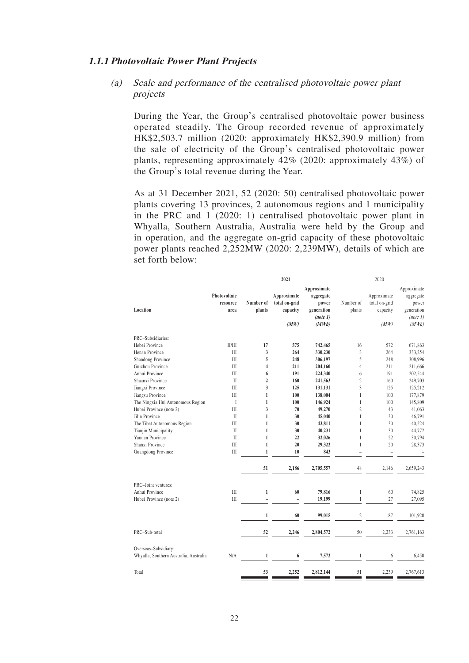#### **1.1.1 Photovoltaic Power Plant Projects**

### (a) Scale and performance of the centralised photovoltaic power plant projects

During the Year, the Group's centralised photovoltaic power business operated steadily. The Group recorded revenue of approximately HK\$2,503.7 million (2020: approximately HK\$2,390.9 million) from the sale of electricity of the Group's centralised photovoltaic power plants, representing approximately 42% (2020: approximately 43%) of the Group's total revenue during the Year.

As at 31 December 2021, 52 (2020: 50) centralised photovoltaic power plants covering 13 provinces, 2 autonomous regions and 1 municipality in the PRC and 1 (2020: 1) centralised photovoltaic power plant in Whyalla, Southern Australia, Australia were held by the Group and in operation, and the aggregate on-grid capacity of these photovoltaic power plants reached 2,252MW (2020: 2,239MW), details of which are set forth below:

|                                  | 2021                                                                                                                                                        |                                                                                                                                                                                              |                                                                                                       | 2020                                                                                                                                                                            |                                                                                                                                                                                                   |                                                                                                             |
|----------------------------------|-------------------------------------------------------------------------------------------------------------------------------------------------------------|----------------------------------------------------------------------------------------------------------------------------------------------------------------------------------------------|-------------------------------------------------------------------------------------------------------|---------------------------------------------------------------------------------------------------------------------------------------------------------------------------------|---------------------------------------------------------------------------------------------------------------------------------------------------------------------------------------------------|-------------------------------------------------------------------------------------------------------------|
| Photovoltaic<br>resource<br>area | Number of<br>plants                                                                                                                                         | Approximate<br>total on-grid<br>capacity<br>(MW)                                                                                                                                             | Approximate<br>aggregate<br>power<br>generation<br>(note 1)<br>(MWh)                                  | Number of<br>plants                                                                                                                                                             | Approximate<br>total on-grid<br>capacity<br>(MW)                                                                                                                                                  | Approximate<br>aggregate<br>power<br>generation<br>(note 1)<br>(MWh)                                        |
|                                  |                                                                                                                                                             |                                                                                                                                                                                              |                                                                                                       |                                                                                                                                                                                 |                                                                                                                                                                                                   |                                                                                                             |
|                                  |                                                                                                                                                             |                                                                                                                                                                                              |                                                                                                       |                                                                                                                                                                                 |                                                                                                                                                                                                   | 671.863                                                                                                     |
|                                  |                                                                                                                                                             |                                                                                                                                                                                              |                                                                                                       |                                                                                                                                                                                 |                                                                                                                                                                                                   | 333,254                                                                                                     |
|                                  |                                                                                                                                                             |                                                                                                                                                                                              |                                                                                                       |                                                                                                                                                                                 |                                                                                                                                                                                                   | 308,996                                                                                                     |
|                                  |                                                                                                                                                             |                                                                                                                                                                                              |                                                                                                       |                                                                                                                                                                                 |                                                                                                                                                                                                   | 211,666                                                                                                     |
|                                  |                                                                                                                                                             |                                                                                                                                                                                              |                                                                                                       |                                                                                                                                                                                 |                                                                                                                                                                                                   | 202,544                                                                                                     |
|                                  |                                                                                                                                                             |                                                                                                                                                                                              |                                                                                                       |                                                                                                                                                                                 |                                                                                                                                                                                                   | 249,703                                                                                                     |
|                                  |                                                                                                                                                             |                                                                                                                                                                                              |                                                                                                       |                                                                                                                                                                                 |                                                                                                                                                                                                   | 125,212                                                                                                     |
|                                  |                                                                                                                                                             |                                                                                                                                                                                              |                                                                                                       |                                                                                                                                                                                 |                                                                                                                                                                                                   | 177,879                                                                                                     |
|                                  |                                                                                                                                                             |                                                                                                                                                                                              |                                                                                                       |                                                                                                                                                                                 |                                                                                                                                                                                                   | 145,809                                                                                                     |
| III                              |                                                                                                                                                             |                                                                                                                                                                                              |                                                                                                       |                                                                                                                                                                                 |                                                                                                                                                                                                   | 41,063                                                                                                      |
|                                  |                                                                                                                                                             |                                                                                                                                                                                              |                                                                                                       |                                                                                                                                                                                 |                                                                                                                                                                                                   | 46,791                                                                                                      |
|                                  |                                                                                                                                                             |                                                                                                                                                                                              |                                                                                                       |                                                                                                                                                                                 |                                                                                                                                                                                                   | 40,524                                                                                                      |
|                                  |                                                                                                                                                             |                                                                                                                                                                                              |                                                                                                       |                                                                                                                                                                                 |                                                                                                                                                                                                   | 44,772                                                                                                      |
|                                  |                                                                                                                                                             |                                                                                                                                                                                              |                                                                                                       |                                                                                                                                                                                 |                                                                                                                                                                                                   | 30,794                                                                                                      |
|                                  |                                                                                                                                                             |                                                                                                                                                                                              |                                                                                                       |                                                                                                                                                                                 |                                                                                                                                                                                                   | 28,373                                                                                                      |
| Ш                                | $\mathbf{1}$                                                                                                                                                | 10                                                                                                                                                                                           | 843                                                                                                   | ÷,                                                                                                                                                                              |                                                                                                                                                                                                   |                                                                                                             |
|                                  | 51                                                                                                                                                          | 2,186                                                                                                                                                                                        | 2,705,557                                                                                             | 48                                                                                                                                                                              | 2,146                                                                                                                                                                                             | 2,659,243                                                                                                   |
|                                  |                                                                                                                                                             |                                                                                                                                                                                              |                                                                                                       |                                                                                                                                                                                 |                                                                                                                                                                                                   |                                                                                                             |
|                                  |                                                                                                                                                             |                                                                                                                                                                                              |                                                                                                       | $\mathbf{1}$                                                                                                                                                                    |                                                                                                                                                                                                   | 74,825                                                                                                      |
|                                  | $\overline{a}$                                                                                                                                              | $\overline{a}$                                                                                                                                                                               |                                                                                                       |                                                                                                                                                                                 |                                                                                                                                                                                                   | 27,095                                                                                                      |
|                                  | $\mathbf{1}$                                                                                                                                                | 60                                                                                                                                                                                           | 99,015                                                                                                | $\overline{c}$                                                                                                                                                                  | 87                                                                                                                                                                                                | 101,920                                                                                                     |
|                                  | 52                                                                                                                                                          | 2,246                                                                                                                                                                                        | 2,804,572                                                                                             | 50                                                                                                                                                                              | 2,233                                                                                                                                                                                             | 2,761,163                                                                                                   |
|                                  |                                                                                                                                                             |                                                                                                                                                                                              |                                                                                                       |                                                                                                                                                                                 |                                                                                                                                                                                                   |                                                                                                             |
| N/A                              | $\mathbf{1}$                                                                                                                                                | 6                                                                                                                                                                                            | 7,572                                                                                                 | 1                                                                                                                                                                               | 6                                                                                                                                                                                                 | 6.450                                                                                                       |
|                                  | 53                                                                                                                                                          | 2,252                                                                                                                                                                                        | 2,812,144                                                                                             | 51                                                                                                                                                                              | 2,239                                                                                                                                                                                             | 2,767,613                                                                                                   |
|                                  | II/III<br>III<br>III<br>III<br>III<br>$\mathbf{I}$<br>III<br>III<br>$\mathbf I$<br>$\mathbf{I}$<br>III<br>$\mathbf{I}$<br>$\mathbf{H}$<br>III<br>III<br>IΙI | 17<br>3<br>5<br>4<br>6<br>$\overline{2}$<br>$\overline{\mathbf{3}}$<br>$\mathbf{1}$<br>$\mathbf{1}$<br>3<br>1<br>$\mathbf{1}$<br>$\mathbf{1}$<br>$\mathbf{1}$<br>$\mathbf{1}$<br>$\mathbf 1$ | 575<br>264<br>248<br>211<br>191<br>160<br>125<br>100<br>100<br>70<br>30<br>30<br>30<br>22<br>20<br>60 | 742,465<br>330,230<br>306,197<br>204,160<br>224,340<br>241,563<br>131,131<br>138,004<br>146,924<br>49,270<br>45,040<br>43,811<br>40,231<br>32,026<br>29,322<br>79,816<br>19,199 | 16<br>3<br>5<br>$\overline{4}$<br>6<br>$\overline{2}$<br>3<br>$\mathbf{1}$<br>$\mathbf{1}$<br>$\overline{2}$<br>$\mathbf{1}$<br>$\mathbf{1}$<br>$\mathbf{1}$<br>$\mathbf{1}$<br>1<br>$\mathbf{1}$ | 572<br>264<br>248<br>211<br>191<br>160<br>125<br>100<br>100<br>43<br>30<br>30<br>30<br>22<br>20<br>60<br>27 |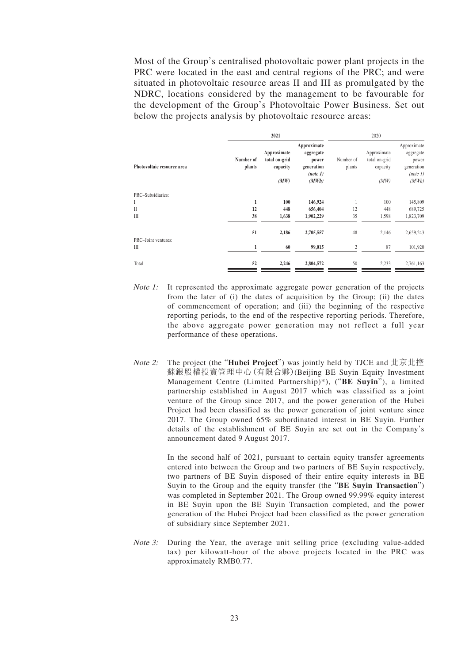Most of the Group's centralised photovoltaic power plant projects in the PRC were located in the east and central regions of the PRC; and were situated in photovoltaic resource areas II and III as promulgated by the NDRC, locations considered by the management to be favourable for the development of the Group's Photovoltaic Power Business. Set out below the projects analysis by photovoltaic resource areas:

|                            |                     | 2021                                     |                                                             |                     | 2020                                     |                                                             |  |  |
|----------------------------|---------------------|------------------------------------------|-------------------------------------------------------------|---------------------|------------------------------------------|-------------------------------------------------------------|--|--|
| Photovoltaic resource area | Number of<br>plants | Approximate<br>total on-grid<br>capacity | Approximate<br>aggregate<br>power<br>generation<br>(note 1) | Number of<br>plants | Approximate<br>total on-grid<br>capacity | Approximate<br>aggregate<br>power<br>generation<br>(note 1) |  |  |
|                            |                     | (MW)                                     | (MWh)                                                       |                     | (MW)                                     | (MWh)                                                       |  |  |
| PRC-Subsidiaries:          |                     |                                          |                                                             |                     |                                          |                                                             |  |  |
| Ι                          | 1                   | 100                                      | 146,924                                                     |                     | 100                                      | 145,809                                                     |  |  |
| $\mathbf{I}$               | 12                  | 448                                      | 656,404                                                     | 12                  | 448                                      | 689,725                                                     |  |  |
| Ш                          | 38                  | 1,638                                    | 1,902,229                                                   | 35                  | 1,598                                    | 1,823,709                                                   |  |  |
| PRC-Joint ventures:        | 51                  | 2,186                                    | 2,705,557                                                   | 48                  | 2,146                                    | 2,659,243                                                   |  |  |
| Ш                          | 1                   | 60                                       | 99,015                                                      | $\overline{c}$      | 87                                       | 101,920                                                     |  |  |
| Total                      | 52                  | 2,246                                    | 2,804,572                                                   | 50                  | 2,233                                    | 2,761,163                                                   |  |  |

- Note 1: It represented the approximate aggregate power generation of the projects from the later of (i) the dates of acquisition by the Group; (ii) the dates of commencement of operation; and (iii) the beginning of the respective reporting periods, to the end of the respective reporting periods. Therefore, the above aggregate power generation may not reflect a full year performance of these operations.
- Note 2: The project (the "**Hubei Project**") was jointly held by TJCE and 北京北控 蘇銀股權投資管理中心(有限合夥)(Beijing BE Suyin Equity Investment Management Centre (Limited Partnership)\*), ("**BE Suyin**"), a limited partnership established in August 2017 which was classified as a joint venture of the Group since 2017, and the power generation of the Hubei Project had been classified as the power generation of joint venture since 2017. The Group owned 65% subordinated interest in BE Suyin. Further details of the establishment of BE Suyin are set out in the Company's announcement dated 9 August 2017.

In the second half of 2021, pursuant to certain equity transfer agreements entered into between the Group and two partners of BE Suyin respectively, two partners of BE Suyin disposed of their entire equity interests in BE Suyin to the Group and the equity transfer (the "**BE Suyin Transaction**") was completed in September 2021. The Group owned 99.99% equity interest in BE Suyin upon the BE Suyin Transaction completed, and the power generation of the Hubei Project had been classified as the power generation of subsidiary since September 2021.

Note 3: During the Year, the average unit selling price (excluding value-added tax) per kilowatt-hour of the above projects located in the PRC was approximately RMB0.77.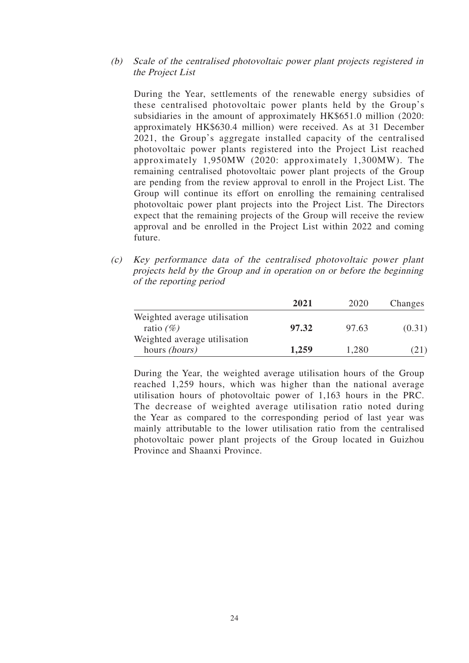#### (b) Scale of the centralised photovoltaic power plant projects registered in the Project List

During the Year, settlements of the renewable energy subsidies of these centralised photovoltaic power plants held by the Group's subsidiaries in the amount of approximately HK\$651.0 million (2020: approximately HK\$630.4 million) were received. As at 31 December 2021, the Group's aggregate installed capacity of the centralised photovoltaic power plants registered into the Project List reached approximately 1,950MW (2020: approximately 1,300MW). The remaining centralised photovoltaic power plant projects of the Group are pending from the review approval to enroll in the Project List. The Group will continue its effort on enrolling the remaining centralised photovoltaic power plant projects into the Project List. The Directors expect that the remaining projects of the Group will receive the review approval and be enrolled in the Project List within 2022 and coming future.

(c) Key performance data of the centralised photovoltaic power plant projects held by the Group and in operation on or before the beginning of the reporting period

|                              | 2021  | 2020  | Changes |
|------------------------------|-------|-------|---------|
| Weighted average utilisation |       |       |         |
| ratio $(\%)$                 | 97.32 | 97.63 | (0.31)  |
| Weighted average utilisation |       |       |         |
| hours <i>(hours)</i>         | 1,259 | 1,280 | (21)    |

During the Year, the weighted average utilisation hours of the Group reached 1,259 hours, which was higher than the national average utilisation hours of photovoltaic power of 1,163 hours in the PRC. The decrease of weighted average utilisation ratio noted during the Year as compared to the corresponding period of last year was mainly attributable to the lower utilisation ratio from the centralised photovoltaic power plant projects of the Group located in Guizhou Province and Shaanxi Province.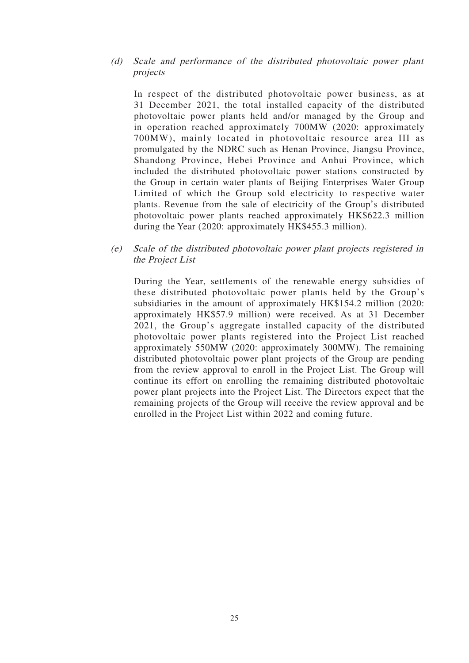#### (d) Scale and performance of the distributed photovoltaic power plant projects

In respect of the distributed photovoltaic power business, as at 31 December 2021, the total installed capacity of the distributed photovoltaic power plants held and/or managed by the Group and in operation reached approximately 700MW (2020: approximately 700MW), mainly located in photovoltaic resource area III as promulgated by the NDRC such as Henan Province, Jiangsu Province, Shandong Province, Hebei Province and Anhui Province, which included the distributed photovoltaic power stations constructed by the Group in certain water plants of Beijing Enterprises Water Group Limited of which the Group sold electricity to respective water plants. Revenue from the sale of electricity of the Group's distributed photovoltaic power plants reached approximately HK\$622.3 million during the Year (2020: approximately HK\$455.3 million).

(e) Scale of the distributed photovoltaic power plant projects registered in the Project List

During the Year, settlements of the renewable energy subsidies of these distributed photovoltaic power plants held by the Group's subsidiaries in the amount of approximately HK\$154.2 million (2020: approximately HK\$57.9 million) were received. As at 31 December 2021, the Group's aggregate installed capacity of the distributed photovoltaic power plants registered into the Project List reached approximately 550MW (2020: approximately 300MW). The remaining distributed photovoltaic power plant projects of the Group are pending from the review approval to enroll in the Project List. The Group will continue its effort on enrolling the remaining distributed photovoltaic power plant projects into the Project List. The Directors expect that the remaining projects of the Group will receive the review approval and be enrolled in the Project List within 2022 and coming future.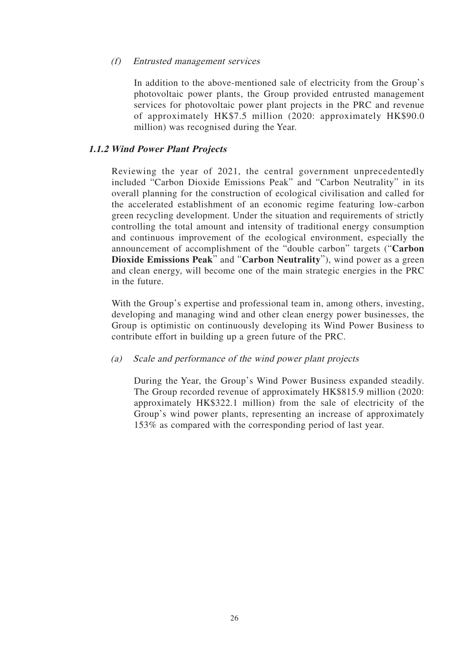#### (f) Entrusted management services

In addition to the above-mentioned sale of electricity from the Group's photovoltaic power plants, the Group provided entrusted management services for photovoltaic power plant projects in the PRC and revenue of approximately HK\$7.5 million (2020: approximately HK\$90.0 million) was recognised during the Year.

### **1.1.2 Wind Power Plant Projects**

Reviewing the year of 2021, the central government unprecedentedly included "Carbon Dioxide Emissions Peak" and "Carbon Neutrality" in its overall planning for the construction of ecological civilisation and called for the accelerated establishment of an economic regime featuring low-carbon green recycling development. Under the situation and requirements of strictly controlling the total amount and intensity of traditional energy consumption and continuous improvement of the ecological environment, especially the announcement of accomplishment of the "double carbon" targets ("**Carbon Dioxide Emissions Peak**" and "**Carbon Neutrality**"), wind power as a green and clean energy, will become one of the main strategic energies in the PRC in the future.

With the Group's expertise and professional team in, among others, investing, developing and managing wind and other clean energy power businesses, the Group is optimistic on continuously developing its Wind Power Business to contribute effort in building up a green future of the PRC.

#### (a) Scale and performance of the wind power plant projects

During the Year, the Group's Wind Power Business expanded steadily. The Group recorded revenue of approximately HK\$815.9 million (2020: approximately HK\$322.1 million) from the sale of electricity of the Group's wind power plants, representing an increase of approximately 153% as compared with the corresponding period of last year.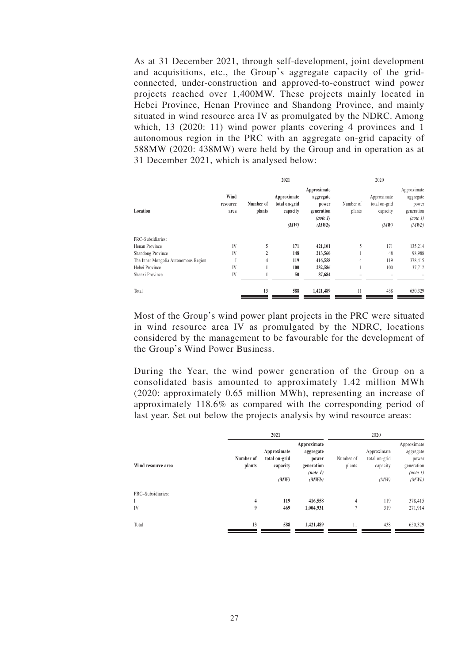As at 31 December 2021, through self-development, joint development and acquisitions, etc., the Group's aggregate capacity of the gridconnected, under-construction and approved-to-construct wind power projects reached over 1,400MW. These projects mainly located in Hebei Province, Henan Province and Shandong Province, and mainly situated in wind resource area IV as promulgated by the NDRC. Among which, 13 (2020: 11) wind power plants covering 4 provinces and 1 autonomous region in the PRC with an aggregate on-grid capacity of 588MW (2020: 438MW) were held by the Group and in operation as at 31 December 2021, which is analysed below:

|                                      |          |                | 2021                         |                    | 2020      |                              |                    |
|--------------------------------------|----------|----------------|------------------------------|--------------------|-----------|------------------------------|--------------------|
|                                      | Wind     |                |                              | Approximate        |           |                              | Approximate        |
|                                      | resource | Number of      | Approximate<br>total on-grid | aggregate<br>power | Number of | Approximate<br>total on-grid | aggregate<br>power |
| Location                             | area     | plants         | capacity                     | generation         | plants    | capacity                     | generation         |
|                                      |          |                |                              | (note 1)           |           |                              | (note 1)           |
|                                      |          |                | (MW)                         | (MWh)              |           | (MW)                         | (MWh)              |
| PRC-Subsidiaries:                    |          |                |                              |                    |           |                              |                    |
| Henan Province                       | IV       | 5              | 171                          | 421,101            | 5         | 171                          | 135,214            |
| Shandong Province                    | IV       | $\overline{2}$ | 148                          | 213,560            |           | 48                           | 98,988             |
| The Inner Mongolia Autonomous Region |          | 4              | 119                          | 416,558            | 4         | 119                          | 378,415            |
| Hebei Province                       | IV       |                | 100                          | 282,586            |           | 100                          | 37,712             |
| Shanxi Province                      | IV       |                | 50                           | 87,684             |           |                              |                    |
| Total                                |          | 13             | 588                          | 1,421,489          | 11        | 438                          | 650,329            |
|                                      |          |                |                              |                    |           |                              |                    |

Most of the Group's wind power plant projects in the PRC were situated in wind resource area IV as promulgated by the NDRC, locations considered by the management to be favourable for the development of the Group's Wind Power Business.

During the Year, the wind power generation of the Group on a consolidated basis amounted to approximately 1.42 million MWh (2020: approximately 0.65 million MWh), representing an increase of approximately 118.6% as compared with the corresponding period of last year. Set out below the projects analysis by wind resource areas:

|                         |                              | 2021                                             |                                                                      |                                  | 2020                                             |                                                                      |  |  |
|-------------------------|------------------------------|--------------------------------------------------|----------------------------------------------------------------------|----------------------------------|--------------------------------------------------|----------------------------------------------------------------------|--|--|
| Wind resource area      | Number of<br>plants          | Approximate<br>total on-grid<br>capacity<br>(MW) | Approximate<br>aggregate<br>power<br>generation<br>(note 1)<br>(MWh) | Number of<br>plants              | Approximate<br>total on-grid<br>capacity<br>(MW) | Approximate<br>aggregate<br>power<br>generation<br>(note 1)<br>(MWh) |  |  |
| PRC-Subsidiaries:<br>IV | $\overline{\mathbf{4}}$<br>9 | 119<br>469                                       | 416,558<br>1,004,931                                                 | $\overline{4}$<br>$\overline{7}$ | 119<br>319                                       | 378,415<br>271,914                                                   |  |  |
| Total                   | 13                           | 588                                              | 1,421,489                                                            | 11                               | 438                                              | 650,329                                                              |  |  |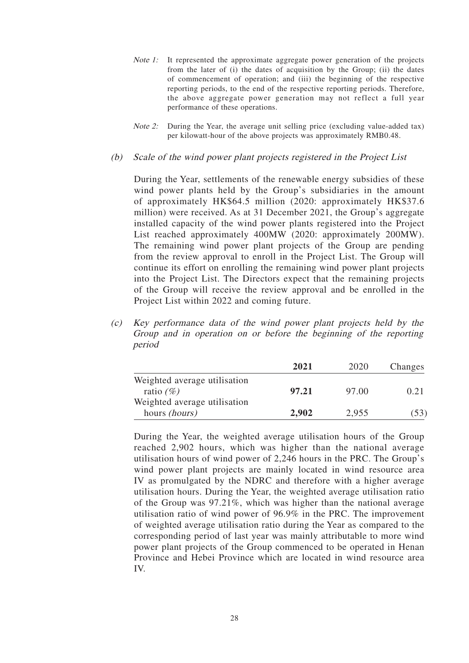- Note 1: It represented the approximate aggregate power generation of the projects from the later of (i) the dates of acquisition by the Group; (ii) the dates of commencement of operation; and (iii) the beginning of the respective reporting periods, to the end of the respective reporting periods. Therefore, the above aggregate power generation may not reflect a full year performance of these operations.
- *Note 2:* During the Year, the average unit selling price (excluding value-added tax) per kilowatt-hour of the above projects was approximately RMB0.48.
- (b) Scale of the wind power plant projects registered in the Project List

During the Year, settlements of the renewable energy subsidies of these wind power plants held by the Group's subsidiaries in the amount of approximately HK\$64.5 million (2020: approximately HK\$37.6 million) were received. As at 31 December 2021, the Group's aggregate installed capacity of the wind power plants registered into the Project List reached approximately 400MW (2020: approximately 200MW). The remaining wind power plant projects of the Group are pending from the review approval to enroll in the Project List. The Group will continue its effort on enrolling the remaining wind power plant projects into the Project List. The Directors expect that the remaining projects of the Group will receive the review approval and be enrolled in the Project List within 2022 and coming future.

(c) Key performance data of the wind power plant projects held by the Group and in operation on or before the beginning of the reporting period

|                              | 2021  | 2020  | Changes |
|------------------------------|-------|-------|---------|
| Weighted average utilisation |       |       |         |
| ratio $(\%)$                 | 97.21 | 97.00 | 0.21    |
| Weighted average utilisation |       |       |         |
| hours <i>(hours)</i>         | 2,902 | 2,955 | (53)    |

During the Year, the weighted average utilisation hours of the Group reached 2,902 hours, which was higher than the national average utilisation hours of wind power of 2,246 hours in the PRC. The Group's wind power plant projects are mainly located in wind resource area IV as promulgated by the NDRC and therefore with a higher average utilisation hours. During the Year, the weighted average utilisation ratio of the Group was 97.21%, which was higher than the national average utilisation ratio of wind power of 96.9% in the PRC. The improvement of weighted average utilisation ratio during the Year as compared to the corresponding period of last year was mainly attributable to more wind power plant projects of the Group commenced to be operated in Henan Province and Hebei Province which are located in wind resource area IV.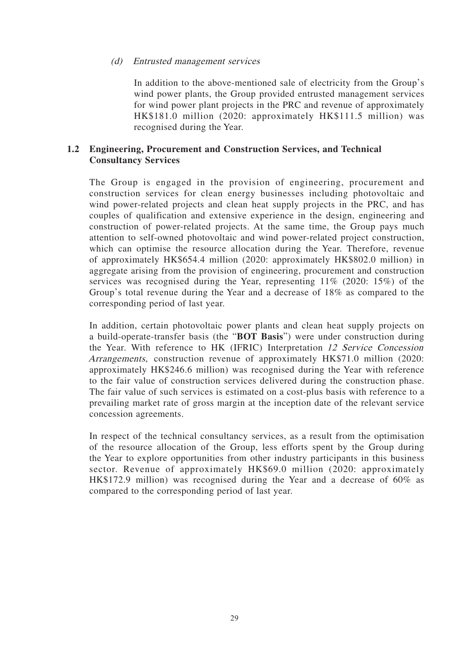#### (d) Entrusted management services

In addition to the above-mentioned sale of electricity from the Group's wind power plants, the Group provided entrusted management services for wind power plant projects in the PRC and revenue of approximately HK\$181.0 million (2020: approximately HK\$111.5 million) was recognised during the Year.

### **1.2 Engineering, Procurement and Construction Services, and Technical Consultancy Services**

The Group is engaged in the provision of engineering, procurement and construction services for clean energy businesses including photovoltaic and wind power-related projects and clean heat supply projects in the PRC, and has couples of qualification and extensive experience in the design, engineering and construction of power-related projects. At the same time, the Group pays much attention to self-owned photovoltaic and wind power-related project construction, which can optimise the resource allocation during the Year. Therefore, revenue of approximately HK\$654.4 million (2020: approximately HK\$802.0 million) in aggregate arising from the provision of engineering, procurement and construction services was recognised during the Year, representing 11% (2020: 15%) of the Group's total revenue during the Year and a decrease of 18% as compared to the corresponding period of last year.

In addition, certain photovoltaic power plants and clean heat supply projects on a build-operate-transfer basis (the "**BOT Basis**") were under construction during the Year. With reference to HK (IFRIC) Interpretation 12 Service Concession Arrangements, construction revenue of approximately HK\$71.0 million (2020: approximately HK\$246.6 million) was recognised during the Year with reference to the fair value of construction services delivered during the construction phase. The fair value of such services is estimated on a cost-plus basis with reference to a prevailing market rate of gross margin at the inception date of the relevant service concession agreements.

In respect of the technical consultancy services, as a result from the optimisation of the resource allocation of the Group, less efforts spent by the Group during the Year to explore opportunities from other industry participants in this business sector. Revenue of approximately HK\$69.0 million (2020: approximately HK\$172.9 million) was recognised during the Year and a decrease of 60% as compared to the corresponding period of last year.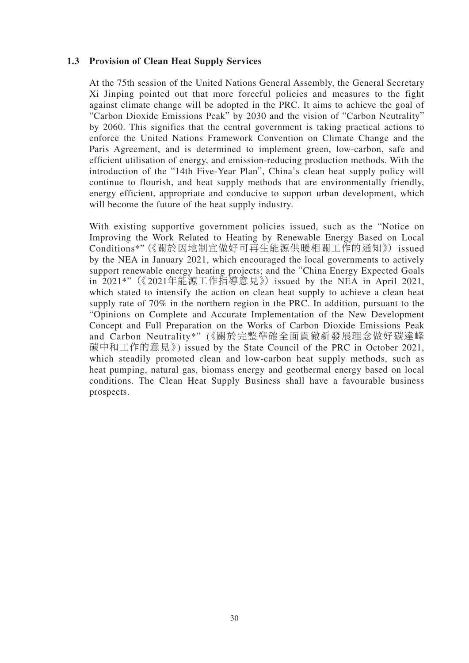### **1.3 Provision of Clean Heat Supply Services**

At the 75th session of the United Nations General Assembly, the General Secretary Xi Jinping pointed out that more forceful policies and measures to the fight against climate change will be adopted in the PRC. It aims to achieve the goal of "Carbon Dioxide Emissions Peak" by 2030 and the vision of "Carbon Neutrality" by 2060. This signifies that the central government is taking practical actions to enforce the United Nations Framework Convention on Climate Change and the Paris Agreement, and is determined to implement green, low-carbon, safe and efficient utilisation of energy, and emission-reducing production methods. With the introduction of the "14th Five-Year Plan", China's clean heat supply policy will continue to flourish, and heat supply methods that are environmentally friendly, energy efficient, appropriate and conducive to support urban development, which will become the future of the heat supply industry.

With existing supportive government policies issued, such as the "Notice on Improving the Work Related to Heating by Renewable Energy Based on Local Conditions\*"(《關於因地制宜做好可再生能源供暖相關工作的通知》) issued by the NEA in January 2021, which encouraged the local governments to actively support renewable energy heating projects; and the "China Energy Expected Goals in 2021\*"(《2021年能源工作指導意見》) issued by the NEA in April 2021, which stated to intensify the action on clean heat supply to achieve a clean heat supply rate of 70% in the northern region in the PRC. In addition, pursuant to the "Opinions on Complete and Accurate Implementation of the New Development Concept and Full Preparation on the Works of Carbon Dioxide Emissions Peak and Carbon Neutrality\*" (《關於完整準確全面貫徹新發展理念做好碳達峰 碳中和工作的意見》) issued by the State Council of the PRC in October 2021, which steadily promoted clean and low-carbon heat supply methods, such as heat pumping, natural gas, biomass energy and geothermal energy based on local conditions. The Clean Heat Supply Business shall have a favourable business prospects.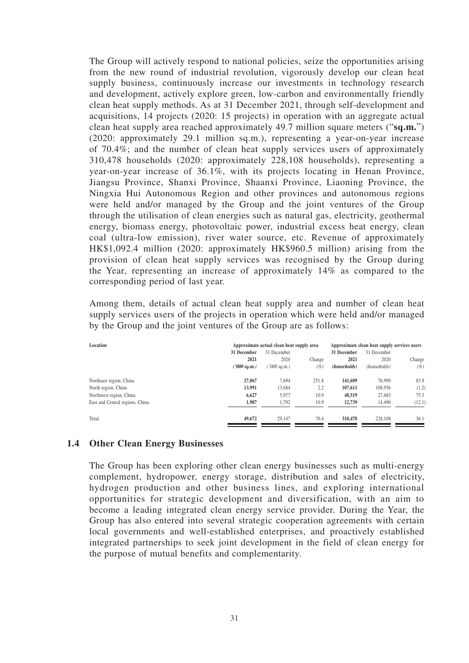The Group will actively respond to national policies, seize the opportunities arising from the new round of industrial revolution, vigorously develop our clean heat supply business, continuously increase our investments in technology research and development, actively explore green, low-carbon and environmentally friendly clean heat supply methods. As at 31 December 2021, through self-development and acquisitions, 14 projects (2020: 15 projects) in operation with an aggregate actual clean heat supply area reached approximately 49.7 million square meters ("**sq.m.**") (2020: approximately 29.1 million sq.m.), representing a year-on-year increase of 70.4%; and the number of clean heat supply services users of approximately 310,478 households (2020: approximately 228,108 households), representing a year-on-year increase of 36.1%, with its projects locating in Henan Province, Jiangsu Province, Shanxi Province, Shaanxi Province, Liaoning Province, the Ningxia Hui Autonomous Region and other provinces and autonomous regions were held and/or managed by the Group and the joint ventures of the Group through the utilisation of clean energies such as natural gas, electricity, geothermal energy, biomass energy, photovoltaic power, industrial excess heat energy, clean coal (ultra-low emission), river water source, etc. Revenue of approximately HK\$1,092.4 million (2020: approximately HK\$960.5 million) arising from the provision of clean heat supply services was recognised by the Group during the Year, representing an increase of approximately 14% as compared to the corresponding period of last year.

Among them, details of actual clean heat supply area and number of clean heat supply services users of the projects in operation which were held and/or managed by the Group and the joint ventures of the Group are as follows:

| Location                        |             | Approximate actual clean heat supply area |        | Approximate clean heat supply services users |              |        |
|---------------------------------|-------------|-------------------------------------------|--------|----------------------------------------------|--------------|--------|
|                                 | 31 December | 31 December                               |        | 31 December                                  | 31 December  |        |
|                                 | 2021        | 2020                                      | Change | 2021                                         | 2020         | Change |
|                                 | '000 sq.m.) | '000 sq.m.)                               | (%)    | (households)                                 | (households) | (%)    |
| Northeast region, China         | 27,067      | 7.694                                     | 251.8  | 141,609                                      | 76,999       | 83.9   |
| North region, China             | 13,991      | 13.684                                    | 2.2    | 107.611                                      | 108.936      | (1.2)  |
| Northwest region, China         | 6.627       | 5.977                                     | 10.9   | 48,519                                       | 27.683       | 75.3   |
| East and Central regions, China | 1,987       | 1,792                                     | 10.9   | 12,739                                       | 14,490       | (12.1) |
| Total                           | 49,672      | 29.147                                    | 70.4   | 310,478                                      | 228,108      | 36.1   |

#### **1.4 Other Clean Energy Businesses**

The Group has been exploring other clean energy businesses such as multi-energy complement, hydropower, energy storage, distribution and sales of electricity, hydrogen production and other business lines, and exploring international opportunities for strategic development and diversification, with an aim to become a leading integrated clean energy service provider. During the Year, the Group has also entered into several strategic cooperation agreements with certain local governments and well-established enterprises, and proactively established integrated partnerships to seek joint development in the field of clean energy for the purpose of mutual benefits and complementarity.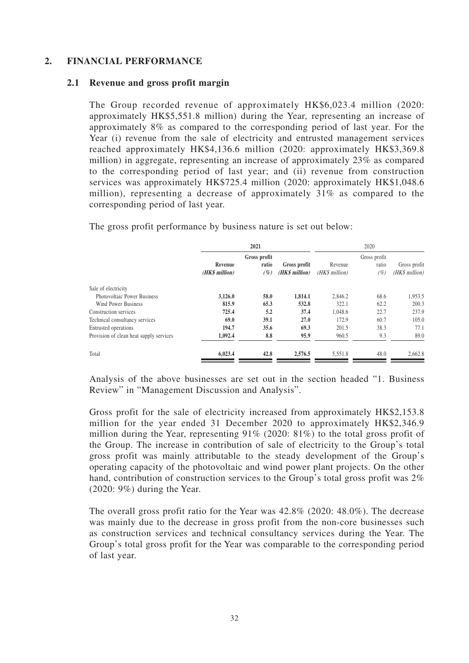### **2. FINANCIAL PERFORMANCE**

#### **2.1 Revenue and gross profit margin**

The Group recorded revenue of approximately HK\$6,023.4 million (2020: approximately HK\$5,551.8 million) during the Year, representing an increase of approximately 8% as compared to the corresponding period of last year. For the Year (i) revenue from the sale of electricity and entrusted management services reached approximately HK\$4,136.6 million (2020: approximately HK\$3,369.8 million) in aggregate, representing an increase of approximately 23% as compared to the corresponding period of last year; and (ii) revenue from construction services was approximately HK\$725.4 million (2020: approximately HK\$1,048.6 million), representing a decrease of approximately 31% as compared to the corresponding period of last year.

|                                         | 2021                      |                              |                                | 2020                      |                             |                                |  |
|-----------------------------------------|---------------------------|------------------------------|--------------------------------|---------------------------|-----------------------------|--------------------------------|--|
|                                         | Revenue<br>(HK\$ million) | Gross profit<br>ratio<br>(%) | Gross profit<br>(HK\$ million) | Revenue<br>(HK\$ million) | Gross profit<br>ratio<br>(% | Gross profit<br>(HK\$ million) |  |
| Sale of electricity                     |                           |                              |                                |                           |                             |                                |  |
| <b>Photovoltaic Power Business</b>      | 3,126.0                   | 58.0                         | 1,814.1                        | 2.846.2                   | 68.6                        | 1,953.5                        |  |
| Wind Power Business                     | 815.9                     | 65.3                         | 532.8                          | 322.1                     | 62.2                        | 200.3                          |  |
| Construction services                   | 725.4                     | 5.2                          | 37.4                           | 1,048.6                   | 22.7                        | 237.9                          |  |
| Technical consultancy services          | 69.0                      | 39.1                         | 27.0                           | 172.9                     | 60.7                        | 105.0                          |  |
| Entrusted operations                    | 194.7                     | 35.6                         | 69.3                           | 201.5                     | 38.3                        | 77.1                           |  |
| Provision of clean heat supply services | 1,092.4                   | 8.8                          | 95.9                           | 960.5                     | 9.3                         | 89.0                           |  |
| Total                                   | 6,023.4                   | 42.8                         | 2,576.5                        | 5,551.8                   | 48.0                        | 2,662.8                        |  |

The gross profit performance by business nature is set out below:

Analysis of the above businesses are set out in the section headed "1. Business Review" in "Management Discussion and Analysis".

Gross profit for the sale of electricity increased from approximately HK\$2,153.8 million for the year ended 31 December 2020 to approximately HK\$2,346.9 million during the Year, representing 91% (2020: 81%) to the total gross profit of the Group. The increase in contribution of sale of electricity to the Group's total gross profit was mainly attributable to the steady development of the Group's operating capacity of the photovoltaic and wind power plant projects. On the other hand, contribution of construction services to the Group's total gross profit was  $2\%$ (2020: 9%) during the Year.

The overall gross profit ratio for the Year was 42.8% (2020: 48.0%). The decrease was mainly due to the decrease in gross profit from the non-core businesses such as construction services and technical consultancy services during the Year. The Group's total gross profit for the Year was comparable to the corresponding period of last year.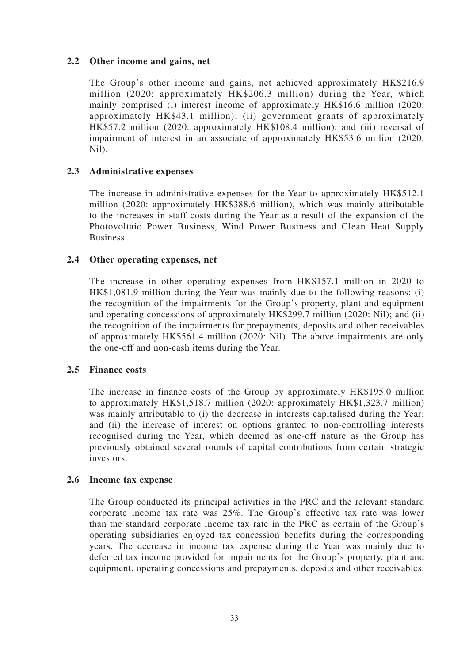### **2.2 Other income and gains, net**

The Group's other income and gains, net achieved approximately HK\$216.9 million (2020: approximately HK\$206.3 million) during the Year, which mainly comprised (i) interest income of approximately HK\$16.6 million (2020: approximately HK\$43.1 million); (ii) government grants of approximately HK\$57.2 million (2020: approximately HK\$108.4 million); and (iii) reversal of impairment of interest in an associate of approximately HK\$53.6 million (2020: Nil).

### **2.3 Administrative expenses**

The increase in administrative expenses for the Year to approximately HK\$512.1 million (2020: approximately HK\$388.6 million), which was mainly attributable to the increases in staff costs during the Year as a result of the expansion of the Photovoltaic Power Business, Wind Power Business and Clean Heat Supply Business.

### **2.4 Other operating expenses, net**

The increase in other operating expenses from HK\$157.1 million in 2020 to HK\$1,081.9 million during the Year was mainly due to the following reasons: (i) the recognition of the impairments for the Group's property, plant and equipment and operating concessions of approximately HK\$299.7 million (2020: Nil); and (ii) the recognition of the impairments for prepayments, deposits and other receivables of approximately HK\$561.4 million (2020: Nil). The above impairments are only the one-off and non-cash items during the Year.

#### **2.5 Finance costs**

The increase in finance costs of the Group by approximately HK\$195.0 million to approximately HK\$1,518.7 million (2020: approximately HK\$1,323.7 million) was mainly attributable to (i) the decrease in interests capitalised during the Year; and (ii) the increase of interest on options granted to non-controlling interests recognised during the Year, which deemed as one-off nature as the Group has previously obtained several rounds of capital contributions from certain strategic investors.

#### **2.6 Income tax expense**

The Group conducted its principal activities in the PRC and the relevant standard corporate income tax rate was 25%. The Group's effective tax rate was lower than the standard corporate income tax rate in the PRC as certain of the Group's operating subsidiaries enjoyed tax concession benefits during the corresponding years. The decrease in income tax expense during the Year was mainly due to deferred tax income provided for impairments for the Group's property, plant and equipment, operating concessions and prepayments, deposits and other receivables.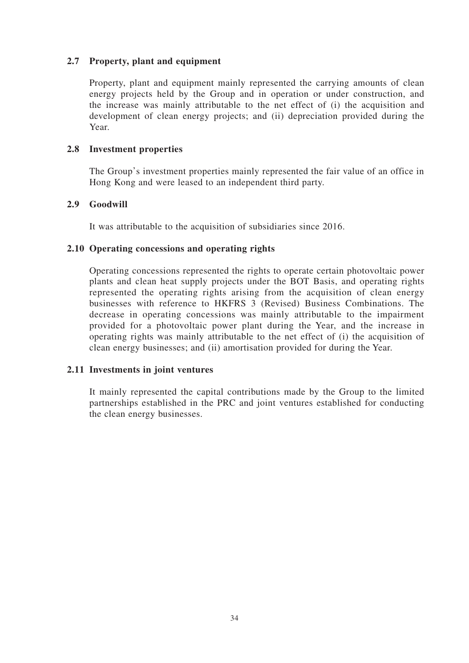### **2.7 Property, plant and equipment**

Property, plant and equipment mainly represented the carrying amounts of clean energy projects held by the Group and in operation or under construction, and the increase was mainly attributable to the net effect of (i) the acquisition and development of clean energy projects; and (ii) depreciation provided during the Year.

### **2.8 Investment properties**

The Group's investment properties mainly represented the fair value of an office in Hong Kong and were leased to an independent third party.

### **2.9 Goodwill**

It was attributable to the acquisition of subsidiaries since 2016.

### **2.10 Operating concessions and operating rights**

Operating concessions represented the rights to operate certain photovoltaic power plants and clean heat supply projects under the BOT Basis, and operating rights represented the operating rights arising from the acquisition of clean energy businesses with reference to HKFRS 3 (Revised) Business Combinations. The decrease in operating concessions was mainly attributable to the impairment provided for a photovoltaic power plant during the Year, and the increase in operating rights was mainly attributable to the net effect of (i) the acquisition of clean energy businesses; and (ii) amortisation provided for during the Year.

### **2.11 Investments in joint ventures**

It mainly represented the capital contributions made by the Group to the limited partnerships established in the PRC and joint ventures established for conducting the clean energy businesses.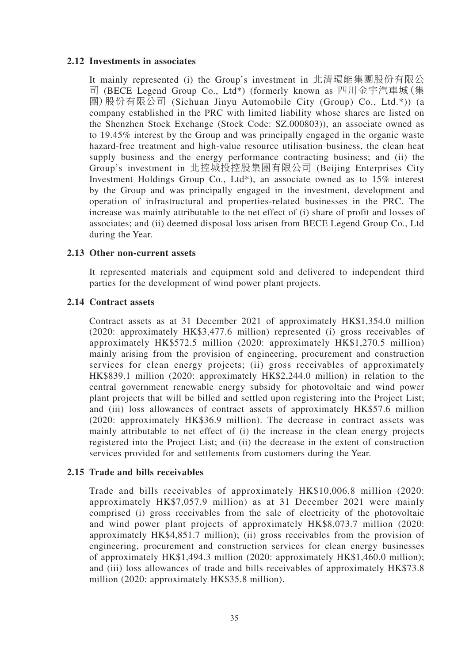### **2.12 Investments in associates**

It mainly represented (i) the Group's investment in 北清環能集團股份有限公 司 (BECE Legend Group Co., Ltd\*) (formerly known as 四川金宇汽車城(集 團)股份有限公司 (Sichuan Jinyu Automobile City (Group) Co., Ltd.\*)) (a company established in the PRC with limited liability whose shares are listed on the Shenzhen Stock Exchange (Stock Code: SZ.000803)), an associate owned as to 19.45% interest by the Group and was principally engaged in the organic waste hazard-free treatment and high-value resource utilisation business, the clean heat supply business and the energy performance contracting business; and (ii) the Group's investment in 北控城投控股集團有限公司 (Beijing Enterprises City Investment Holdings Group Co., Ltd\*), an associate owned as to 15% interest by the Group and was principally engaged in the investment, development and operation of infrastructural and properties-related businesses in the PRC. The increase was mainly attributable to the net effect of (i) share of profit and losses of associates; and (ii) deemed disposal loss arisen from BECE Legend Group Co., Ltd during the Year.

#### **2.13 Other non-current assets**

It represented materials and equipment sold and delivered to independent third parties for the development of wind power plant projects.

### **2.14 Contract assets**

Contract assets as at 31 December 2021 of approximately HK\$1,354.0 million (2020: approximately HK\$3,477.6 million) represented (i) gross receivables of approximately HK\$572.5 million (2020: approximately HK\$1,270.5 million) mainly arising from the provision of engineering, procurement and construction services for clean energy projects; (ii) gross receivables of approximately HK\$839.1 million (2020: approximately HK\$2,244.0 million) in relation to the central government renewable energy subsidy for photovoltaic and wind power plant projects that will be billed and settled upon registering into the Project List; and (iii) loss allowances of contract assets of approximately HK\$57.6 million (2020: approximately HK\$36.9 million). The decrease in contract assets was mainly attributable to net effect of (i) the increase in the clean energy projects registered into the Project List; and (ii) the decrease in the extent of construction services provided for and settlements from customers during the Year.

#### **2.15 Trade and bills receivables**

Trade and bills receivables of approximately HK\$10,006.8 million (2020: approximately HK\$7,057.9 million) as at 31 December 2021 were mainly comprised (i) gross receivables from the sale of electricity of the photovoltaic and wind power plant projects of approximately HK\$8,073.7 million (2020: approximately HK\$4,851.7 million); (ii) gross receivables from the provision of engineering, procurement and construction services for clean energy businesses of approximately HK\$1,494.3 million (2020: approximately HK\$1,460.0 million); and (iii) loss allowances of trade and bills receivables of approximately HK\$73.8 million (2020: approximately HK\$35.8 million).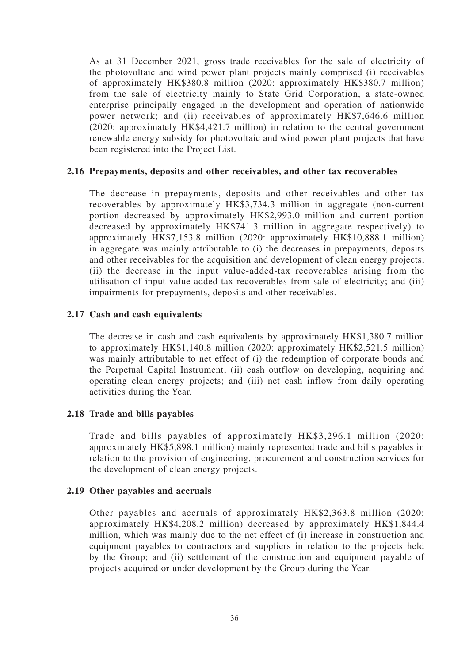As at 31 December 2021, gross trade receivables for the sale of electricity of the photovoltaic and wind power plant projects mainly comprised (i) receivables of approximately HK\$380.8 million (2020: approximately HK\$380.7 million) from the sale of electricity mainly to State Grid Corporation, a state-owned enterprise principally engaged in the development and operation of nationwide power network; and (ii) receivables of approximately HK\$7,646.6 million (2020: approximately HK\$4,421.7 million) in relation to the central government renewable energy subsidy for photovoltaic and wind power plant projects that have been registered into the Project List.

### **2.16 Prepayments, deposits and other receivables, and other tax recoverables**

The decrease in prepayments, deposits and other receivables and other tax recoverables by approximately HK\$3,734.3 million in aggregate (non-current portion decreased by approximately HK\$2,993.0 million and current portion decreased by approximately HK\$741.3 million in aggregate respectively) to approximately HK\$7,153.8 million (2020: approximately HK\$10,888.1 million) in aggregate was mainly attributable to (i) the decreases in prepayments, deposits and other receivables for the acquisition and development of clean energy projects; (ii) the decrease in the input value-added-tax recoverables arising from the utilisation of input value-added-tax recoverables from sale of electricity; and (iii) impairments for prepayments, deposits and other receivables.

#### **2.17 Cash and cash equivalents**

The decrease in cash and cash equivalents by approximately HK\$1,380.7 million to approximately HK\$1,140.8 million (2020: approximately HK\$2,521.5 million) was mainly attributable to net effect of (i) the redemption of corporate bonds and the Perpetual Capital Instrument; (ii) cash outflow on developing, acquiring and operating clean energy projects; and (iii) net cash inflow from daily operating activities during the Year.

#### **2.18 Trade and bills payables**

Trade and bills payables of approximately HK\$3,296.1 million (2020: approximately HK\$5,898.1 million) mainly represented trade and bills payables in relation to the provision of engineering, procurement and construction services for the development of clean energy projects.

#### **2.19 Other payables and accruals**

Other payables and accruals of approximately HK\$2,363.8 million (2020: approximately HK\$4,208.2 million) decreased by approximately HK\$1,844.4 million, which was mainly due to the net effect of (i) increase in construction and equipment payables to contractors and suppliers in relation to the projects held by the Group; and (ii) settlement of the construction and equipment payable of projects acquired or under development by the Group during the Year.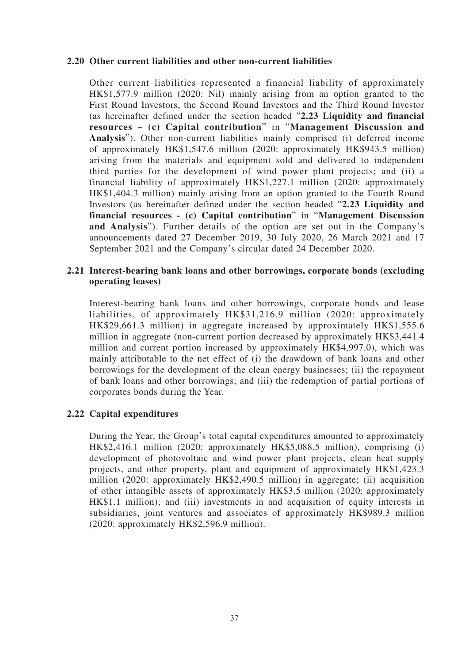#### **2.20 Other current liabilities and other non-current liabilities**

Other current liabilities represented a financial liability of approximately HK\$1,577.9 million (2020: Nil) mainly arising from an option granted to the First Round Investors, the Second Round Investors and the Third Round Investor (as hereinafter defined under the section headed "**2.23 Liquidity and financial resources – (c) Capital contribution**" in "**Management Discussion and Analysis**"). Other non-current liabilities mainly comprised (i) deferred income of approximately HK\$1,547.6 million (2020: approximately HK\$943.5 million) arising from the materials and equipment sold and delivered to independent third parties for the development of wind power plant projects; and (ii) a financial liability of approximately HK\$1,227.1 million (2020: approximately HK\$1,404.3 million) mainly arising from an option granted to the Fourth Round Investors (as hereinafter defined under the section headed "**2.23 Liquidity and financial resources - (c) Capital contribution**" in "**Management Discussion and Analysis**"). Further details of the option are set out in the Company's announcements dated 27 December 2019, 30 July 2020, 26 March 2021 and 17 September 2021 and the Company's circular dated 24 December 2020.

### **2.21 Interest-bearing bank loans and other borrowings, corporate bonds (excluding operating leases)**

Interest-bearing bank loans and other borrowings, corporate bonds and lease liabilities, of approximately HK\$31,216.9 million (2020: approximately HK\$29,661.3 million) in aggregate increased by approximately HK\$1,555.6 million in aggregate (non-current portion decreased by approximately HK\$3,441.4 million and current portion increased by approximately HK\$4,997.0), which was mainly attributable to the net effect of (i) the drawdown of bank loans and other borrowings for the development of the clean energy businesses; (ii) the repayment of bank loans and other borrowings; and (iii) the redemption of partial portions of corporates bonds during the Year.

### **2.22 Capital expenditures**

During the Year, the Group's total capital expenditures amounted to approximately HK\$2,416.1 million (2020: approximately HK\$5,088.5 million), comprising (i) development of photovoltaic and wind power plant projects, clean heat supply projects, and other property, plant and equipment of approximately HK\$1,423.3 million (2020: approximately HK\$2,490.5 million) in aggregate; (ii) acquisition of other intangible assets of approximately HK\$3.5 million (2020: approximately HK\$1.1 million); and (iii) investments in and acquisition of equity interests in subsidiaries, joint ventures and associates of approximately HK\$989.3 million (2020: approximately HK\$2,596.9 million).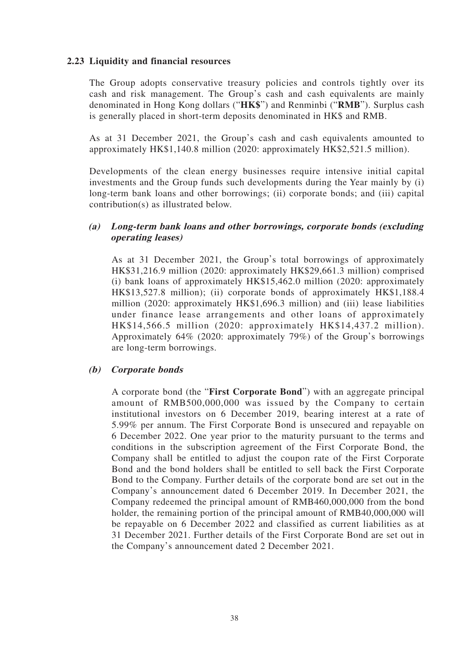### **2.23 Liquidity and financial resources**

The Group adopts conservative treasury policies and controls tightly over its cash and risk management. The Group's cash and cash equivalents are mainly denominated in Hong Kong dollars ("**HK\$**") and Renminbi ("**RMB**"). Surplus cash is generally placed in short-term deposits denominated in HK\$ and RMB.

As at 31 December 2021, the Group's cash and cash equivalents amounted to approximately HK\$1,140.8 million (2020: approximately HK\$2,521.5 million).

Developments of the clean energy businesses require intensive initial capital investments and the Group funds such developments during the Year mainly by (i) long-term bank loans and other borrowings; (ii) corporate bonds; and (iii) capital contribution(s) as illustrated below.

#### **(a) Long-term bank loans and other borrowings, corporate bonds (excluding operating leases)**

As at 31 December 2021, the Group's total borrowings of approximately HK\$31,216.9 million (2020: approximately HK\$29,661.3 million) comprised (i) bank loans of approximately HK\$15,462.0 million (2020: approximately HK\$13,527.8 million); (ii) corporate bonds of approximately HK\$1,188.4 million (2020: approximately HK\$1,696.3 million) and (iii) lease liabilities under finance lease arrangements and other loans of approximately HK\$14,566.5 million (2020: approximately HK\$14,437.2 million). Approximately 64% (2020: approximately 79%) of the Group's borrowings are long-term borrowings.

#### **(b) Corporate bonds**

A corporate bond (the "**First Corporate Bond**") with an aggregate principal amount of RMB500,000,000 was issued by the Company to certain institutional investors on 6 December 2019, bearing interest at a rate of 5.99% per annum. The First Corporate Bond is unsecured and repayable on 6 December 2022. One year prior to the maturity pursuant to the terms and conditions in the subscription agreement of the First Corporate Bond, the Company shall be entitled to adjust the coupon rate of the First Corporate Bond and the bond holders shall be entitled to sell back the First Corporate Bond to the Company. Further details of the corporate bond are set out in the Company's announcement dated 6 December 2019. In December 2021, the Company redeemed the principal amount of RMB460,000,000 from the bond holder, the remaining portion of the principal amount of RMB40,000,000 will be repayable on 6 December 2022 and classified as current liabilities as at 31 December 2021. Further details of the First Corporate Bond are set out in the Company's announcement dated 2 December 2021.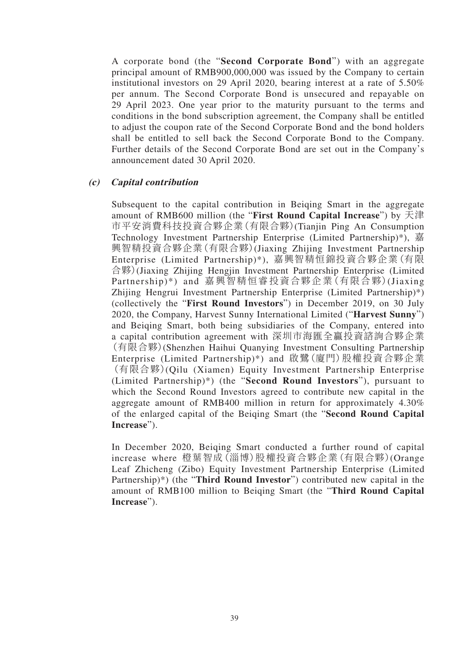A corporate bond (the "**Second Corporate Bond**") with an aggregate principal amount of RMB900,000,000 was issued by the Company to certain institutional investors on 29 April 2020, bearing interest at a rate of 5.50% per annum. The Second Corporate Bond is unsecured and repayable on 29 April 2023. One year prior to the maturity pursuant to the terms and conditions in the bond subscription agreement, the Company shall be entitled to adjust the coupon rate of the Second Corporate Bond and the bond holders shall be entitled to sell back the Second Corporate Bond to the Company. Further details of the Second Corporate Bond are set out in the Company's announcement dated 30 April 2020.

#### **(c) Capital contribution**

Subsequent to the capital contribution in Beiqing Smart in the aggregate amount of RMB600 million (the "**First Round Capital Increase**") by 天津 市平安消費科技投資合夥企業(有限合夥)(Tianjin Ping An Consumption Technology Investment Partnership Enterprise (Limited Partnership)\*), 嘉 興智精投資合夥企業(有限合夥)(Jiaxing Zhijing Investment Partnership Enterprise (Limited Partnership)\*), 嘉興智精恒錦投資合夥企業(有限 合夥)(Jiaxing Zhijing Hengjin Investment Partnership Enterprise (Limited Partnership)\*) and 嘉興智精恒睿投資合夥企業(有限合夥)(Jiaxing Zhijing Hengrui Investment Partnership Enterprise (Limited Partnership)\*) (collectively the "**First Round Investors**") in December 2019, on 30 July 2020, the Company, Harvest Sunny International Limited ("**Harvest Sunny**") and Beiqing Smart, both being subsidiaries of the Company, entered into a capital contribution agreement with 深圳市海匯全贏投資諮詢合夥企業 (有限合夥)(Shenzhen Haihui Quanying Investment Consulting Partnership Enterprise (Limited Partnership)\*) and 啟鷺(廈門)股權投資合夥企業 (有限合夥)(Qilu (Xiamen) Equity Investment Partnership Enterprise (Limited Partnership)\*) (the "**Second Round Investors**"), pursuant to which the Second Round Investors agreed to contribute new capital in the aggregate amount of RMB400 million in return for approximately 4.30% of the enlarged capital of the Beiqing Smart (the "**Second Round Capital Increase**").

In December 2020, Beiqing Smart conducted a further round of capital increase where 橙葉智成(淄博)股權投資合夥企業(有限合夥)(Orange Leaf Zhicheng (Zibo) Equity Investment Partnership Enterprise (Limited Partnership)\*) (the "**Third Round Investor**") contributed new capital in the amount of RMB100 million to Beiqing Smart (the "**Third Round Capital Increase**").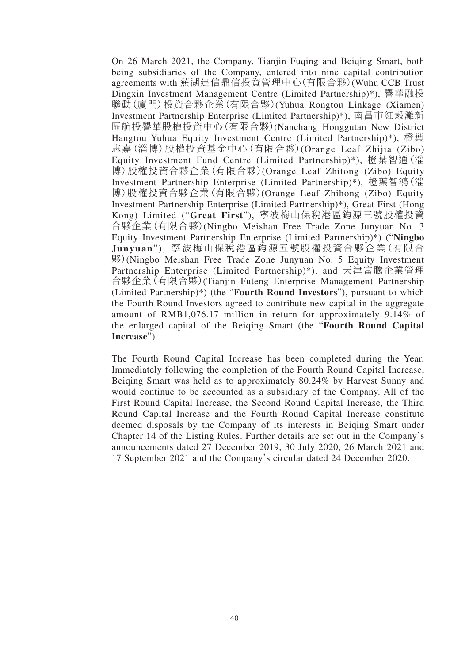On 26 March 2021, the Company, Tianjin Fuqing and Beiqing Smart, both being subsidiaries of the Company, entered into nine capital contribution agreements with 蕪湖建信鼎信投資管理中心(有限合夥)(Wuhu CCB Trust Dingxin Investment Management Centre (Limited Partnership)\*), 譽華融投 聯動(廈門)投資合夥企業(有限合夥)(Yuhua Rongtou Linkage (Xiamen) Investment Partnership Enterprise (Limited Partnership)\*), 南昌市紅穀灘新 區航投譽華股權投資中心(有限合夥)(Nanchang Honggutan New District Hangtou Yuhua Equity Investment Centre (Limited Partnership)\*), 橙葉 志嘉(淄博)股權投資基金中心(有限合夥)(Orange Leaf Zhijia (Zibo) Equity Investment Fund Centre (Limited Partnership)\*), 橙葉智通(淄 博)股權投資合夥企業(有限合夥)(Orange Leaf Zhitong (Zibo) Equity Investment Partnership Enterprise (Limited Partnership)\*), 橙葉智鴻(淄 博)股權投資合夥企業(有限合夥)(Orange Leaf Zhihong (Zibo) Equity Investment Partnership Enterprise (Limited Partnership)\*), Great First (Hong Kong) Limited ("**Great First**"), 寧波梅山保稅港區鈞源三號股權投資 合夥企業(有限合夥)(Ningbo Meishan Free Trade Zone Junyuan No. 3 Equity Investment Partnership Enterprise (Limited Partnership)\*) ("**Ningbo Junyuan**"), 寧波梅山保稅港區鈞源五號股權投資合夥企業(有限合 夥)(Ningbo Meishan Free Trade Zone Junyuan No. 5 Equity Investment Partnership Enterprise (Limited Partnership)\*), and 天津富騰企業管理 合夥企業(有限合夥)(Tianjin Futeng Enterprise Management Partnership (Limited Partnership)\*) (the "**Fourth Round Investors**"), pursuant to which the Fourth Round Investors agreed to contribute new capital in the aggregate amount of RMB1,076.17 million in return for approximately 9.14% of the enlarged capital of the Beiqing Smart (the "**Fourth Round Capital Increase**").

The Fourth Round Capital Increase has been completed during the Year. Immediately following the completion of the Fourth Round Capital Increase, Beiqing Smart was held as to approximately 80.24% by Harvest Sunny and would continue to be accounted as a subsidiary of the Company. All of the First Round Capital Increase, the Second Round Capital Increase, the Third Round Capital Increase and the Fourth Round Capital Increase constitute deemed disposals by the Company of its interests in Beiqing Smart under Chapter 14 of the Listing Rules. Further details are set out in the Company's announcements dated 27 December 2019, 30 July 2020, 26 March 2021 and 17 September 2021 and the Company's circular dated 24 December 2020.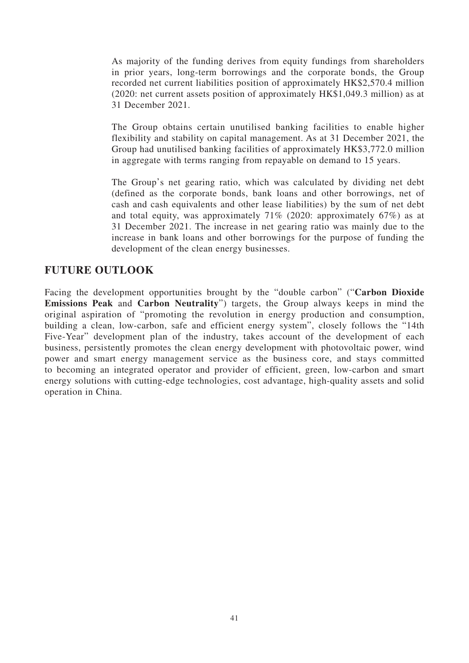As majority of the funding derives from equity fundings from shareholders in prior years, long-term borrowings and the corporate bonds, the Group recorded net current liabilities position of approximately HK\$2,570.4 million (2020: net current assets position of approximately HK\$1,049.3 million) as at 31 December 2021.

The Group obtains certain unutilised banking facilities to enable higher flexibility and stability on capital management. As at 31 December 2021, the Group had unutilised banking facilities of approximately HK\$3,772.0 million in aggregate with terms ranging from repayable on demand to 15 years.

The Group's net gearing ratio, which was calculated by dividing net debt (defined as the corporate bonds, bank loans and other borrowings, net of cash and cash equivalents and other lease liabilities) by the sum of net debt and total equity, was approximately 71% (2020: approximately 67%) as at 31 December 2021. The increase in net gearing ratio was mainly due to the increase in bank loans and other borrowings for the purpose of funding the development of the clean energy businesses.

## **FUTURE OUTLOOK**

Facing the development opportunities brought by the "double carbon" ("**Carbon Dioxide Emissions Peak** and **Carbon Neutrality**") targets, the Group always keeps in mind the original aspiration of "promoting the revolution in energy production and consumption, building a clean, low-carbon, safe and efficient energy system", closely follows the "14th Five-Year" development plan of the industry, takes account of the development of each business, persistently promotes the clean energy development with photovoltaic power, wind power and smart energy management service as the business core, and stays committed to becoming an integrated operator and provider of efficient, green, low-carbon and smart energy solutions with cutting-edge technologies, cost advantage, high-quality assets and solid operation in China.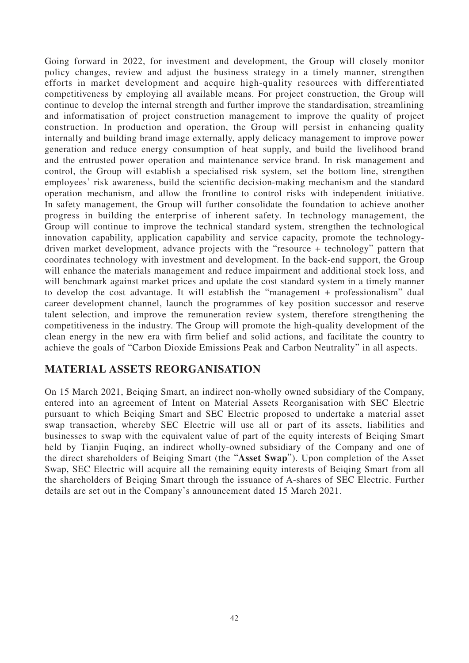Going forward in 2022, for investment and development, the Group will closely monitor policy changes, review and adjust the business strategy in a timely manner, strengthen efforts in market development and acquire high-quality resources with differentiated competitiveness by employing all available means. For project construction, the Group will continue to develop the internal strength and further improve the standardisation, streamlining and informatisation of project construction management to improve the quality of project construction. In production and operation, the Group will persist in enhancing quality internally and building brand image externally, apply delicacy management to improve power generation and reduce energy consumption of heat supply, and build the livelihood brand and the entrusted power operation and maintenance service brand. In risk management and control, the Group will establish a specialised risk system, set the bottom line, strengthen employees' risk awareness, build the scientific decision-making mechanism and the standard operation mechanism, and allow the frontline to control risks with independent initiative. In safety management, the Group will further consolidate the foundation to achieve another progress in building the enterprise of inherent safety. In technology management, the Group will continue to improve the technical standard system, strengthen the technological innovation capability, application capability and service capacity, promote the technologydriven market development, advance projects with the "resource + technology" pattern that coordinates technology with investment and development. In the back-end support, the Group will enhance the materials management and reduce impairment and additional stock loss, and will benchmark against market prices and update the cost standard system in a timely manner to develop the cost advantage. It will establish the "management + professionalism" dual career development channel, launch the programmes of key position successor and reserve talent selection, and improve the remuneration review system, therefore strengthening the competitiveness in the industry. The Group will promote the high-quality development of the clean energy in the new era with firm belief and solid actions, and facilitate the country to achieve the goals of "Carbon Dioxide Emissions Peak and Carbon Neutrality" in all aspects.

## **MATERIAL ASSETS REORGANISATION**

On 15 March 2021, Beiqing Smart, an indirect non-wholly owned subsidiary of the Company, entered into an agreement of Intent on Material Assets Reorganisation with SEC Electric pursuant to which Beiqing Smart and SEC Electric proposed to undertake a material asset swap transaction, whereby SEC Electric will use all or part of its assets, liabilities and businesses to swap with the equivalent value of part of the equity interests of Beiqing Smart held by Tianjin Fuqing, an indirect wholly-owned subsidiary of the Company and one of the direct shareholders of Beiqing Smart (the "**Asset Swap**"). Upon completion of the Asset Swap, SEC Electric will acquire all the remaining equity interests of Beiqing Smart from all the shareholders of Beiqing Smart through the issuance of A-shares of SEC Electric. Further details are set out in the Company's announcement dated 15 March 2021.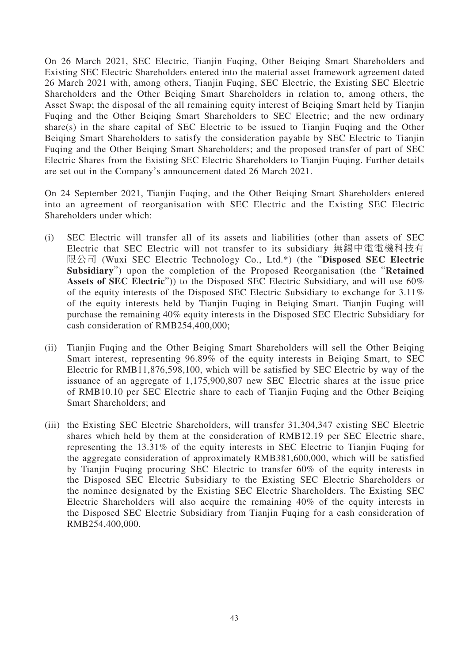On 26 March 2021, SEC Electric, Tianjin Fuqing, Other Beiqing Smart Shareholders and Existing SEC Electric Shareholders entered into the material asset framework agreement dated 26 March 2021 with, among others, Tianjin Fuqing, SEC Electric, the Existing SEC Electric Shareholders and the Other Beiqing Smart Shareholders in relation to, among others, the Asset Swap; the disposal of the all remaining equity interest of Beiqing Smart held by Tianjin Fuqing and the Other Beiqing Smart Shareholders to SEC Electric; and the new ordinary share(s) in the share capital of SEC Electric to be issued to Tianjin Fuqing and the Other Beiqing Smart Shareholders to satisfy the consideration payable by SEC Electric to Tianjin Fuqing and the Other Beiqing Smart Shareholders; and the proposed transfer of part of SEC Electric Shares from the Existing SEC Electric Shareholders to Tianjin Fuqing. Further details are set out in the Company's announcement dated 26 March 2021.

On 24 September 2021, Tianjin Fuqing, and the Other Beiqing Smart Shareholders entered into an agreement of reorganisation with SEC Electric and the Existing SEC Electric Shareholders under which:

- (i) SEC Electric will transfer all of its assets and liabilities (other than assets of SEC Electric that SEC Electric will not transfer to its subsidiary 無錫中電電機科技有 限公司 (Wuxi SEC Electric Technology Co., Ltd.\*) (the "**Disposed SEC Electric Subsidiary**") upon the completion of the Proposed Reorganisation (the "**Retained Assets of SEC Electric**")) to the Disposed SEC Electric Subsidiary, and will use 60% of the equity interests of the Disposed SEC Electric Subsidiary to exchange for 3.11% of the equity interests held by Tianjin Fuqing in Beiqing Smart. Tianjin Fuqing will purchase the remaining 40% equity interests in the Disposed SEC Electric Subsidiary for cash consideration of RMB254,400,000;
- (ii) Tianjin Fuqing and the Other Beiqing Smart Shareholders will sell the Other Beiqing Smart interest, representing 96.89% of the equity interests in Beiqing Smart, to SEC Electric for RMB11,876,598,100, which will be satisfied by SEC Electric by way of the issuance of an aggregate of 1,175,900,807 new SEC Electric shares at the issue price of RMB10.10 per SEC Electric share to each of Tianjin Fuqing and the Other Beiqing Smart Shareholders; and
- (iii) the Existing SEC Electric Shareholders, will transfer 31,304,347 existing SEC Electric shares which held by them at the consideration of RMB12.19 per SEC Electric share, representing the 13.31% of the equity interests in SEC Electric to Tianjin Fuqing for the aggregate consideration of approximately RMB381,600,000, which will be satisfied by Tianjin Fuqing procuring SEC Electric to transfer 60% of the equity interests in the Disposed SEC Electric Subsidiary to the Existing SEC Electric Shareholders or the nominee designated by the Existing SEC Electric Shareholders. The Existing SEC Electric Shareholders will also acquire the remaining 40% of the equity interests in the Disposed SEC Electric Subsidiary from Tianjin Fuqing for a cash consideration of RMB254,400,000.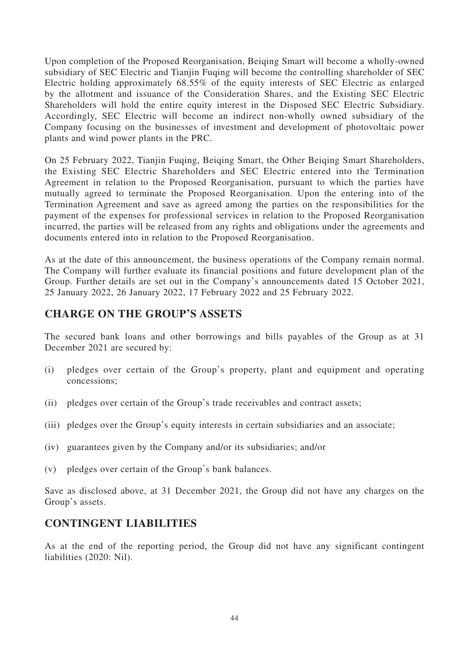Upon completion of the Proposed Reorganisation, Beiqing Smart will become a wholly-owned subsidiary of SEC Electric and Tianjin Fuqing will become the controlling shareholder of SEC Electric holding approximately 68.55% of the equity interests of SEC Electric as enlarged by the allotment and issuance of the Consideration Shares, and the Existing SEC Electric Shareholders will hold the entire equity interest in the Disposed SEC Electric Subsidiary. Accordingly, SEC Electric will become an indirect non-wholly owned subsidiary of the Company focusing on the businesses of investment and development of photovoltaic power plants and wind power plants in the PRC.

On 25 February 2022, Tianjin Fuqing, Beiqing Smart, the Other Beiqing Smart Shareholders, the Existing SEC Electric Shareholders and SEC Electric entered into the Termination Agreement in relation to the Proposed Reorganisation, pursuant to which the parties have mutually agreed to terminate the Proposed Reorganisation. Upon the entering into of the Termination Agreement and save as agreed among the parties on the responsibilities for the payment of the expenses for professional services in relation to the Proposed Reorganisation incurred, the parties will be released from any rights and obligations under the agreements and documents entered into in relation to the Proposed Reorganisation.

As at the date of this announcement, the business operations of the Company remain normal. The Company will further evaluate its financial positions and future development plan of the Group. Further details are set out in the Company's announcements dated 15 October 2021, 25 January 2022, 26 January 2022, 17 February 2022 and 25 February 2022.

## **CHARGE ON THE GROUP'S ASSETS**

The secured bank loans and other borrowings and bills payables of the Group as at 31 December 2021 are secured by:

- (i) pledges over certain of the Group's property, plant and equipment and operating concessions;
- (ii) pledges over certain of the Group's trade receivables and contract assets;
- (iii) pledges over the Group's equity interests in certain subsidiaries and an associate;
- (iv) guarantees given by the Company and/or its subsidiaries; and/or
- (v) pledges over certain of the Group's bank balances.

Save as disclosed above, at 31 December 2021, the Group did not have any charges on the Group's assets.

### **CONTINGENT LIABILITIES**

As at the end of the reporting period, the Group did not have any significant contingent liabilities (2020: Nil).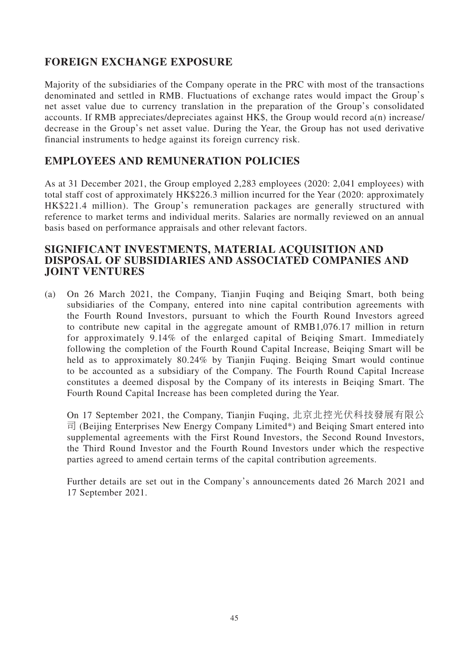## **FOREIGN EXCHANGE EXPOSURE**

Majority of the subsidiaries of the Company operate in the PRC with most of the transactions denominated and settled in RMB. Fluctuations of exchange rates would impact the Group's net asset value due to currency translation in the preparation of the Group's consolidated accounts. If RMB appreciates/depreciates against HK\$, the Group would record a(n) increase/ decrease in the Group's net asset value. During the Year, the Group has not used derivative financial instruments to hedge against its foreign currency risk.

## **EMPLOYEES AND REMUNERATION POLICIES**

As at 31 December 2021, the Group employed 2,283 employees (2020: 2,041 employees) with total staff cost of approximately HK\$226.3 million incurred for the Year (2020: approximately HK\$221.4 million). The Group's remuneration packages are generally structured with reference to market terms and individual merits. Salaries are normally reviewed on an annual basis based on performance appraisals and other relevant factors.

### **SIGNIFICANT INVESTMENTS, MATERIAL ACQUISITION AND DISPOSAL OF SUBSIDIARIES AND ASSOCIATED COMPANIES AND JOINT VENTURES**

(a) On 26 March 2021, the Company, Tianjin Fuqing and Beiqing Smart, both being subsidiaries of the Company, entered into nine capital contribution agreements with the Fourth Round Investors, pursuant to which the Fourth Round Investors agreed to contribute new capital in the aggregate amount of RMB1,076.17 million in return for approximately 9.14% of the enlarged capital of Beiqing Smart. Immediately following the completion of the Fourth Round Capital Increase, Beiqing Smart will be held as to approximately 80.24% by Tianjin Fuqing. Beiqing Smart would continue to be accounted as a subsidiary of the Company. The Fourth Round Capital Increase constitutes a deemed disposal by the Company of its interests in Beiqing Smart. The Fourth Round Capital Increase has been completed during the Year.

On 17 September 2021, the Company, Tianjin Fuqing, 北京北控光伏科技發展有限公 司 (Beijing Enterprises New Energy Company Limited\*) and Beiqing Smart entered into supplemental agreements with the First Round Investors, the Second Round Investors, the Third Round Investor and the Fourth Round Investors under which the respective parties agreed to amend certain terms of the capital contribution agreements.

Further details are set out in the Company's announcements dated 26 March 2021 and 17 September 2021.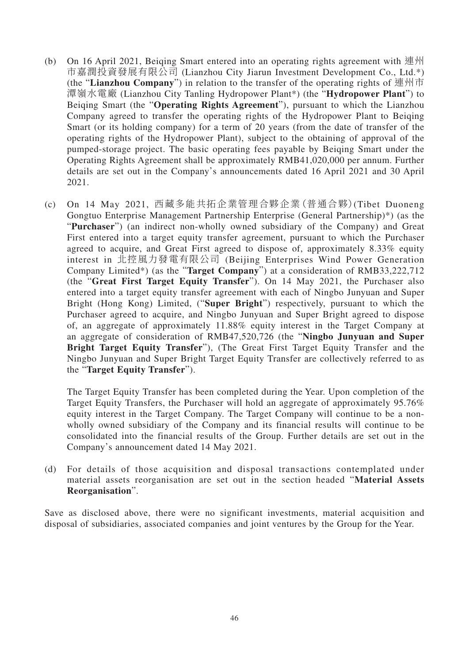- (b) On 16 April 2021, Beiqing Smart entered into an operating rights agreement with 連州 市嘉潤投資發展有限公司 (Lianzhou City Jiarun Investment Development Co., Ltd.\*) (the "**Lianzhou Company**") in relation to the transfer of the operating rights of 連州市 潭嶺水電廠 (Lianzhou City Tanling Hydropower Plant\*) (the "**Hydropower Plant**") to Beiqing Smart (the "**Operating Rights Agreement**"), pursuant to which the Lianzhou Company agreed to transfer the operating rights of the Hydropower Plant to Beiqing Smart (or its holding company) for a term of 20 years (from the date of transfer of the operating rights of the Hydropower Plant), subject to the obtaining of approval of the pumped-storage project. The basic operating fees payable by Beiqing Smart under the Operating Rights Agreement shall be approximately RMB41,020,000 per annum. Further details are set out in the Company's announcements dated 16 April 2021 and 30 April 2021.
- (c) On 14 May 2021, 西藏多能共拓企業管理合夥企業(普通合夥)(Tibet Duoneng Gongtuo Enterprise Management Partnership Enterprise (General Partnership)\*) (as the "**Purchaser**") (an indirect non-wholly owned subsidiary of the Company) and Great First entered into a target equity transfer agreement, pursuant to which the Purchaser agreed to acquire, and Great First agreed to dispose of, approximately 8.33% equity interest in 北控風力發電有限公司 (Beijing Enterprises Wind Power Generation Company Limited\*) (as the "**Target Company**") at a consideration of RMB33,222,712 (the "**Great First Target Equity Transfer**"). On 14 May 2021, the Purchaser also entered into a target equity transfer agreement with each of Ningbo Junyuan and Super Bright (Hong Kong) Limited, ("**Super Bright**") respectively, pursuant to which the Purchaser agreed to acquire, and Ningbo Junyuan and Super Bright agreed to dispose of, an aggregate of approximately 11.88% equity interest in the Target Company at an aggregate of consideration of RMB47,520,726 (the "**Ningbo Junyuan and Super Bright Target Equity Transfer**"), (The Great First Target Equity Transfer and the Ningbo Junyuan and Super Bright Target Equity Transfer are collectively referred to as the "**Target Equity Transfer**").

The Target Equity Transfer has been completed during the Year. Upon completion of the Target Equity Transfers, the Purchaser will hold an aggregate of approximately 95.76% equity interest in the Target Company. The Target Company will continue to be a nonwholly owned subsidiary of the Company and its financial results will continue to be consolidated into the financial results of the Group. Further details are set out in the Company's announcement dated 14 May 2021.

(d) For details of those acquisition and disposal transactions contemplated under material assets reorganisation are set out in the section headed "**Material Assets Reorganisation**".

Save as disclosed above, there were no significant investments, material acquisition and disposal of subsidiaries, associated companies and joint ventures by the Group for the Year.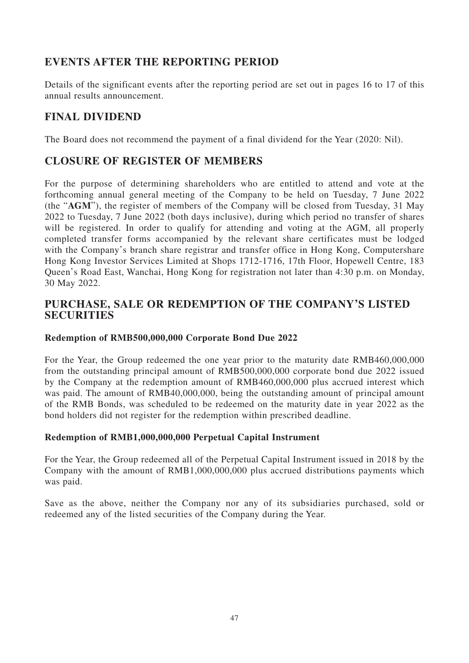## **EVENTS AFTER THE REPORTING PERIOD**

Details of the significant events after the reporting period are set out in pages 16 to 17 of this annual results announcement.

## **FINAL DIVIDEND**

The Board does not recommend the payment of a final dividend for the Year (2020: Nil).

## **CLOSURE OF REGISTER OF MEMBERS**

For the purpose of determining shareholders who are entitled to attend and vote at the forthcoming annual general meeting of the Company to be held on Tuesday, 7 June 2022 (the "**AGM**"), the register of members of the Company will be closed from Tuesday, 31 May 2022 to Tuesday, 7 June 2022 (both days inclusive), during which period no transfer of shares will be registered. In order to qualify for attending and voting at the AGM, all properly completed transfer forms accompanied by the relevant share certificates must be lodged with the Company's branch share registrar and transfer office in Hong Kong, Computershare Hong Kong Investor Services Limited at Shops 1712-1716, 17th Floor, Hopewell Centre, 183 Queen's Road East, Wanchai, Hong Kong for registration not later than 4:30 p.m. on Monday, 30 May 2022.

### **PURCHASE, SALE OR REDEMPTION OF THE COMPANY'S LISTED SECURITIES**

### **Redemption of RMB500,000,000 Corporate Bond Due 2022**

For the Year, the Group redeemed the one year prior to the maturity date RMB460,000,000 from the outstanding principal amount of RMB500,000,000 corporate bond due 2022 issued by the Company at the redemption amount of RMB460,000,000 plus accrued interest which was paid. The amount of RMB40,000,000, being the outstanding amount of principal amount of the RMB Bonds, was scheduled to be redeemed on the maturity date in year 2022 as the bond holders did not register for the redemption within prescribed deadline.

### **Redemption of RMB1,000,000,000 Perpetual Capital Instrument**

For the Year, the Group redeemed all of the Perpetual Capital Instrument issued in 2018 by the Company with the amount of RMB1,000,000,000 plus accrued distributions payments which was paid.

Save as the above, neither the Company nor any of its subsidiaries purchased, sold or redeemed any of the listed securities of the Company during the Year.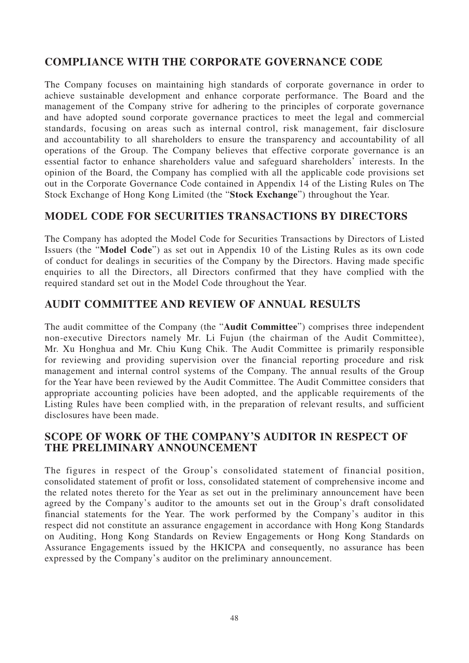## **COMPLIANCE WITH THE CORPORATE GOVERNANCE CODE**

The Company focuses on maintaining high standards of corporate governance in order to achieve sustainable development and enhance corporate performance. The Board and the management of the Company strive for adhering to the principles of corporate governance and have adopted sound corporate governance practices to meet the legal and commercial standards, focusing on areas such as internal control, risk management, fair disclosure and accountability to all shareholders to ensure the transparency and accountability of all operations of the Group. The Company believes that effective corporate governance is an essential factor to enhance shareholders value and safeguard shareholders' interests. In the opinion of the Board, the Company has complied with all the applicable code provisions set out in the Corporate Governance Code contained in Appendix 14 of the Listing Rules on The Stock Exchange of Hong Kong Limited (the "**Stock Exchange**") throughout the Year.

## **MODEL CODE FOR SECURITIES TRANSACTIONS BY DIRECTORS**

The Company has adopted the Model Code for Securities Transactions by Directors of Listed Issuers (the "**Model Code**") as set out in Appendix 10 of the Listing Rules as its own code of conduct for dealings in securities of the Company by the Directors. Having made specific enquiries to all the Directors, all Directors confirmed that they have complied with the required standard set out in the Model Code throughout the Year.

## **AUDIT COMMITTEE AND REVIEW OF ANNUAL RESULTS**

The audit committee of the Company (the "**Audit Committee**") comprises three independent non-executive Directors namely Mr. Li Fujun (the chairman of the Audit Committee), Mr. Xu Honghua and Mr. Chiu Kung Chik. The Audit Committee is primarily responsible for reviewing and providing supervision over the financial reporting procedure and risk management and internal control systems of the Company. The annual results of the Group for the Year have been reviewed by the Audit Committee. The Audit Committee considers that appropriate accounting policies have been adopted, and the applicable requirements of the Listing Rules have been complied with, in the preparation of relevant results, and sufficient disclosures have been made.

## **SCOPE OF WORK OF THE COMPANY'S AUDITOR IN RESPECT OF THE PRELIMINARY ANNOUNCEMENT**

The figures in respect of the Group's consolidated statement of financial position, consolidated statement of profit or loss, consolidated statement of comprehensive income and the related notes thereto for the Year as set out in the preliminary announcement have been agreed by the Company's auditor to the amounts set out in the Group's draft consolidated financial statements for the Year. The work performed by the Company's auditor in this respect did not constitute an assurance engagement in accordance with Hong Kong Standards on Auditing, Hong Kong Standards on Review Engagements or Hong Kong Standards on Assurance Engagements issued by the HKICPA and consequently, no assurance has been expressed by the Company's auditor on the preliminary announcement.